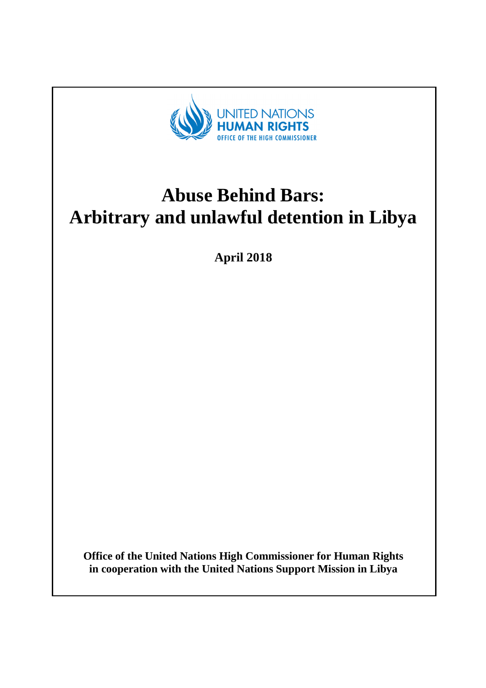

# **Abuse Behind Bars: Arbitrary and unlawful detention in Libya**

**April 2018** 

**Office of the United Nations High Commissioner for Human Rights in cooperation with the United Nations Support Mission in Libya**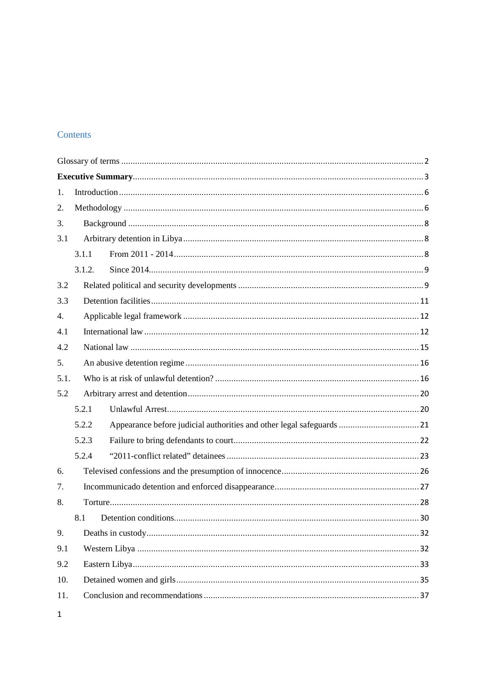## Contents

| 1.   |        |  |  |
|------|--------|--|--|
| 2.   |        |  |  |
| 3.   |        |  |  |
| 3.1  |        |  |  |
|      | 3.1.1  |  |  |
|      | 3.1.2. |  |  |
| 3.2  |        |  |  |
| 3.3  |        |  |  |
| 4.   |        |  |  |
| 4.1  |        |  |  |
| 4.2  |        |  |  |
| 5.   |        |  |  |
| 5.1. |        |  |  |
| 5.2  |        |  |  |
|      | 5.2.1  |  |  |
|      | 5.2.2  |  |  |
|      | 5.2.3  |  |  |
|      | 5.2.4  |  |  |
| 6.   |        |  |  |
| 7.   |        |  |  |
| 8.   |        |  |  |
|      | 8.1    |  |  |
| 9.   |        |  |  |
| 9.1  |        |  |  |
| 9.2  |        |  |  |
| 10.  |        |  |  |
| 11.  |        |  |  |

 $\mathbf{1}$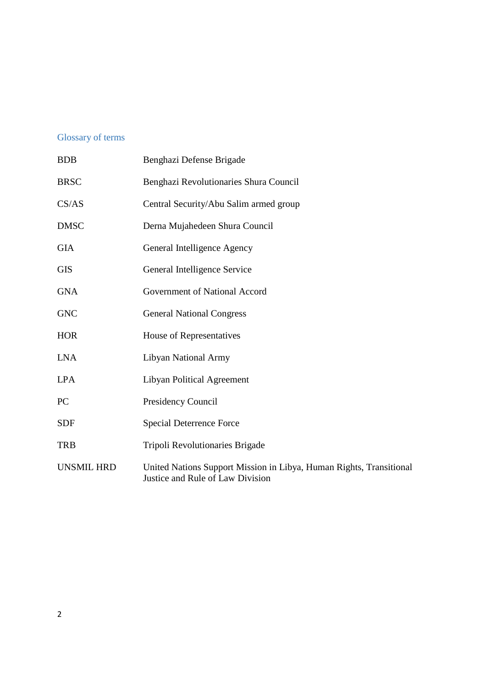## Glossary of terms

| <b>BDB</b>        | Benghazi Defense Brigade                                                                                |
|-------------------|---------------------------------------------------------------------------------------------------------|
| <b>BRSC</b>       | Benghazi Revolutionaries Shura Council                                                                  |
| CS/AS             | Central Security/Abu Salim armed group                                                                  |
| <b>DMSC</b>       | Derna Mujahedeen Shura Council                                                                          |
| <b>GIA</b>        | General Intelligence Agency                                                                             |
| <b>GIS</b>        | General Intelligence Service                                                                            |
| <b>GNA</b>        | Government of National Accord                                                                           |
| <b>GNC</b>        | <b>General National Congress</b>                                                                        |
| <b>HOR</b>        | House of Representatives                                                                                |
| <b>LNA</b>        | Libyan National Army                                                                                    |
| <b>LPA</b>        | <b>Libyan Political Agreement</b>                                                                       |
| <b>PC</b>         | Presidency Council                                                                                      |
| <b>SDF</b>        | <b>Special Deterrence Force</b>                                                                         |
| <b>TRB</b>        | Tripoli Revolutionaries Brigade                                                                         |
| <b>UNSMIL HRD</b> | United Nations Support Mission in Libya, Human Rights, Transitional<br>Justice and Rule of Law Division |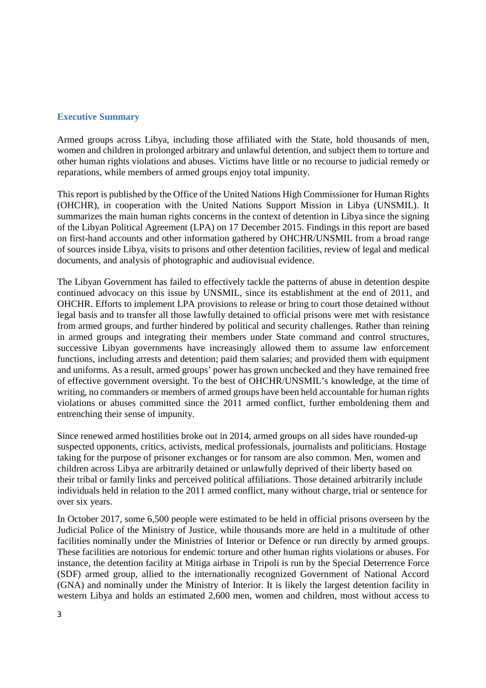#### **Executive Summary**

Armed groups across Libya, including those affiliated with the State, hold thousands of men, women and children in prolonged arbitrary and unlawful detention, and subject them to torture and other human rights violations and abuses. Victims have little or no recourse to judicial remedy or reparations, while members of armed groups enjoy total impunity.

This report is published by the Office of the United Nations High Commissioner for Human Rights (OHCHR), in cooperation with the United Nations Support Mission in Libya (UNSMIL). It summarizes the main human rights concerns in the context of detention in Libya since the signing of the Libyan Political Agreement (LPA) on 17 December 2015. Findings in this report are based on first-hand accounts and other information gathered by OHCHR/UNSMIL from a broad range of sources inside Libya, visits to prisons and other detention facilities, review of legal and medical documents, and analysis of photographic and audiovisual evidence.

The Libyan Government has failed to effectively tackle the patterns of abuse in detention despite continued advocacy on this issue by UNSMIL, since its establishment at the end of 2011, and OHCHR. Efforts to implement LPA provisions to release or bring to court those detained without legal basis and to transfer all those lawfully detained to official prisons were met with resistance from armed groups, and further hindered by political and security challenges. Rather than reining in armed groups and integrating their members under State command and control structures, successive Libyan governments have increasingly allowed them to assume law enforcement functions, including arrests and detention; paid them salaries; and provided them with equipment and uniforms. As a result, armed groups' power has grown unchecked and they have remained free of effective government oversight. To the best of OHCHR/UNSMIL's knowledge, at the time of writing, no commanders or members of armed groups have been held accountable for human rights violations or abuses committed since the 2011 armed conflict, further emboldening them and entrenching their sense of impunity.

Since renewed armed hostilities broke out in 2014, armed groups on all sides have rounded-up suspected opponents, critics, activists, medical professionals, journalists and politicians. Hostage taking for the purpose of prisoner exchanges or for ransom are also common. Men, women and children across Libya are arbitrarily detained or unlawfully deprived of their liberty based on their tribal or family links and perceived political affiliations. Those detained arbitrarily include individuals held in relation to the 2011 armed conflict, many without charge, trial or sentence for over six years.

In October 2017, some 6,500 people were estimated to be held in official prisons overseen by the Judicial Police of the Ministry of Justice, while thousands more are held in a multitude of other facilities nominally under the Ministries of Interior or Defence or run directly by armed groups. These facilities are notorious for endemic torture and other human rights violations or abuses. For instance, the detention facility at Mitiga airbase in Tripoli is run by the Special Deterrence Force (SDF) armed group, allied to the internationally recognized Government of National Accord (GNA) and nominally under the Ministry of Interior. It is likely the largest detention facility in western Libya and holds an estimated 2,600 men, women and children, most without access to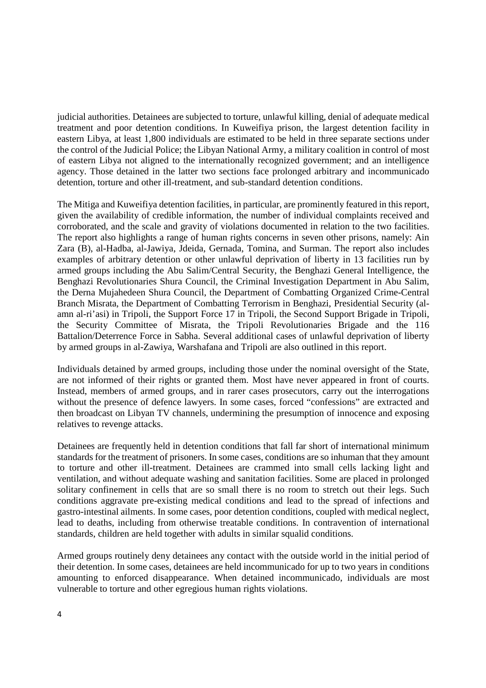judicial authorities. Detainees are subjected to torture, unlawful killing, denial of adequate medical treatment and poor detention conditions. In Kuweifiya prison, the largest detention facility in eastern Libya, at least 1,800 individuals are estimated to be held in three separate sections under the control of the Judicial Police; the Libyan National Army, a military coalition in control of most of eastern Libya not aligned to the internationally recognized government; and an intelligence agency. Those detained in the latter two sections face prolonged arbitrary and incommunicado detention, torture and other ill-treatment, and sub-standard detention conditions.

The Mitiga and Kuweifiya detention facilities, in particular, are prominently featured in this report, given the availability of credible information, the number of individual complaints received and corroborated, and the scale and gravity of violations documented in relation to the two facilities. The report also highlights a range of human rights concerns in seven other prisons, namely: Ain Zara (B), al-Hadba, al-Jawiya, Jdeida, Gernada, Tomina, and Surman. The report also includes examples of arbitrary detention or other unlawful deprivation of liberty in 13 facilities run by armed groups including the Abu Salim/Central Security, the Benghazi General Intelligence, the Benghazi Revolutionaries Shura Council, the Criminal Investigation Department in Abu Salim, the Derna Mujahedeen Shura Council, the Department of Combatting Organized Crime-Central Branch Misrata, the Department of Combatting Terrorism in Benghazi, Presidential Security (alamn al-ri'asi) in Tripoli, the Support Force 17 in Tripoli, the Second Support Brigade in Tripoli, the Security Committee of Misrata, the Tripoli Revolutionaries Brigade and the 116 Battalion/Deterrence Force in Sabha. Several additional cases of unlawful deprivation of liberty by armed groups in al-Zawiya, Warshafana and Tripoli are also outlined in this report.

Individuals detained by armed groups, including those under the nominal oversight of the State, are not informed of their rights or granted them. Most have never appeared in front of courts. Instead, members of armed groups, and in rarer cases prosecutors, carry out the interrogations without the presence of defence lawyers. In some cases, forced "confessions" are extracted and then broadcast on Libyan TV channels, undermining the presumption of innocence and exposing relatives to revenge attacks.

Detainees are frequently held in detention conditions that fall far short of international minimum standards for the treatment of prisoners. In some cases, conditions are so inhuman that they amount to torture and other ill-treatment. Detainees are crammed into small cells lacking light and ventilation, and without adequate washing and sanitation facilities. Some are placed in prolonged solitary confinement in cells that are so small there is no room to stretch out their legs. Such conditions aggravate pre-existing medical conditions and lead to the spread of infections and gastro-intestinal ailments. In some cases, poor detention conditions, coupled with medical neglect, lead to deaths, including from otherwise treatable conditions. In contravention of international standards, children are held together with adults in similar squalid conditions.

Armed groups routinely deny detainees any contact with the outside world in the initial period of their detention. In some cases, detainees are held incommunicado for up to two years in conditions amounting to enforced disappearance. When detained incommunicado, individuals are most vulnerable to torture and other egregious human rights violations.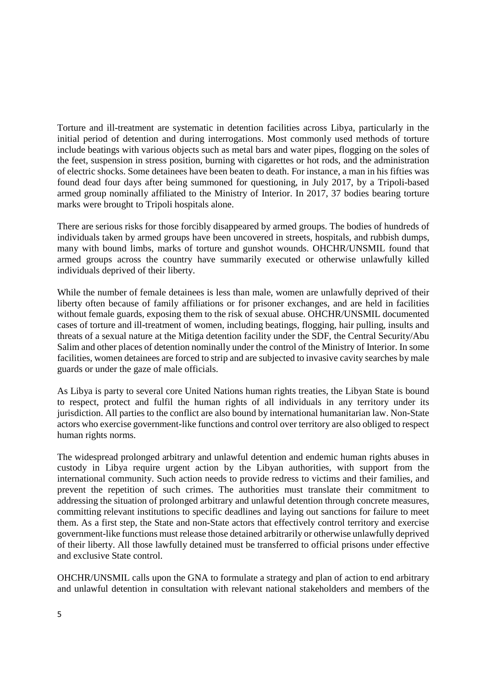Torture and ill-treatment are systematic in detention facilities across Libya, particularly in the initial period of detention and during interrogations. Most commonly used methods of torture include beatings with various objects such as metal bars and water pipes, flogging on the soles of the feet, suspension in stress position, burning with cigarettes or hot rods, and the administration of electric shocks. Some detainees have been beaten to death. For instance, a man in his fifties was found dead four days after being summoned for questioning, in July 2017, by a Tripoli-based armed group nominally affiliated to the Ministry of Interior. In 2017, 37 bodies bearing torture marks were brought to Tripoli hospitals alone.

There are serious risks for those forcibly disappeared by armed groups. The bodies of hundreds of individuals taken by armed groups have been uncovered in streets, hospitals, and rubbish dumps, many with bound limbs, marks of torture and gunshot wounds. OHCHR/UNSMIL found that armed groups across the country have summarily executed or otherwise unlawfully killed individuals deprived of their liberty.

While the number of female detainees is less than male, women are unlawfully deprived of their liberty often because of family affiliations or for prisoner exchanges, and are held in facilities without female guards, exposing them to the risk of sexual abuse. OHCHR/UNSMIL documented cases of torture and ill-treatment of women, including beatings, flogging, hair pulling, insults and threats of a sexual nature at the Mitiga detention facility under the SDF, the Central Security/Abu Salim and other places of detention nominally under the control of the Ministry of Interior. In some facilities, women detainees are forced to strip and are subjected to invasive cavity searches by male guards or under the gaze of male officials.

As Libya is party to several core United Nations human rights treaties, the Libyan State is bound to respect, protect and fulfil the human rights of all individuals in any territory under its jurisdiction. All parties to the conflict are also bound by international humanitarian law. Non-State actors who exercise government-like functions and control over territory are also obliged to respect human rights norms.

The widespread prolonged arbitrary and unlawful detention and endemic human rights abuses in custody in Libya require urgent action by the Libyan authorities, with support from the international community. Such action needs to provide redress to victims and their families, and prevent the repetition of such crimes. The authorities must translate their commitment to addressing the situation of prolonged arbitrary and unlawful detention through concrete measures, committing relevant institutions to specific deadlines and laying out sanctions for failure to meet them. As a first step, the State and non-State actors that effectively control territory and exercise government-like functions must release those detained arbitrarily or otherwise unlawfully deprived of their liberty. All those lawfully detained must be transferred to official prisons under effective and exclusive State control.

OHCHR/UNSMIL calls upon the GNA to formulate a strategy and plan of action to end arbitrary and unlawful detention in consultation with relevant national stakeholders and members of the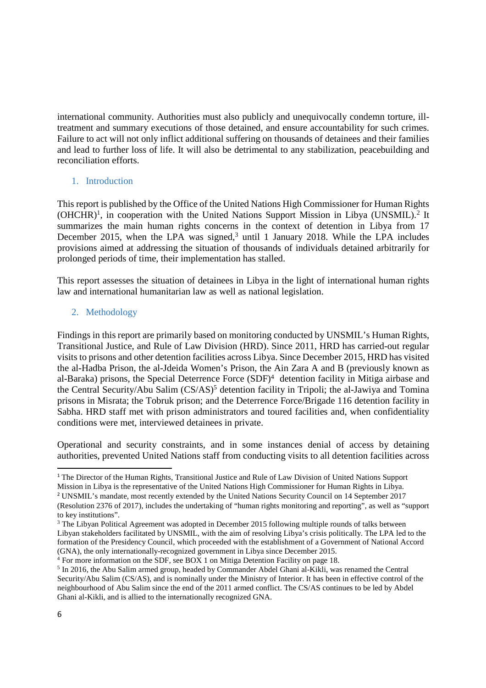international community. Authorities must also publicly and unequivocally condemn torture, illtreatment and summary executions of those detained, and ensure accountability for such crimes. Failure to act will not only inflict additional suffering on thousands of detainees and their families and lead to further loss of life. It will also be detrimental to any stabilization, peacebuilding and reconciliation efforts.

## 1. Introduction

This report is published by the Office of the United Nations High Commissioner for Human Rights (OHCHR)<sup>1</sup>, in cooperation with the United Nations Support Mission in Libya (UNSMIL).<sup>2</sup> It summarizes the main human rights concerns in the context of detention in Libya from 17 December 2015, when the LPA was signed, $3$  until 1 January 2018. While the LPA includes provisions aimed at addressing the situation of thousands of individuals detained arbitrarily for prolonged periods of time, their implementation has stalled.

This report assesses the situation of detainees in Libya in the light of international human rights law and international humanitarian law as well as national legislation.

## 2. Methodology

Findings in this report are primarily based on monitoring conducted by UNSMIL's Human Rights, Transitional Justice, and Rule of Law Division (HRD). Since 2011, HRD has carried-out regular visits to prisons and other detention facilities across Libya. Since December 2015, HRD has visited the al-Hadba Prison, the al-Jdeida Women's Prison, the Ain Zara A and B (previously known as al-Baraka) prisons, the Special Deterrence Force (SDF)<sup>4</sup> detention facility in Mitiga airbase and the Central Security/Abu Salim (CS/AS)<sup>5</sup> detention facility in Tripoli; the al-Jawiya and Tomina prisons in Misrata; the Tobruk prison; and the Deterrence Force/Brigade 116 detention facility in Sabha. HRD staff met with prison administrators and toured facilities and, when confidentiality conditions were met, interviewed detainees in private.

Operational and security constraints, and in some instances denial of access by detaining authorities, prevented United Nations staff from conducting visits to all detention facilities across

<sup>&</sup>lt;sup>1</sup> The Director of the Human Rights, Transitional Justice and Rule of Law Division of United Nations Support Mission in Libya is the representative of the United Nations High Commissioner for Human Rights in Libya.

<sup>&</sup>lt;sup>2</sup> UNSMIL's mandate, most recently extended by the United Nations Security Council on 14 September 2017

<sup>(</sup>Resolution 2376 of 2017), includes the undertaking of "human rights monitoring and reporting", as well as "support to key institutions".

<sup>&</sup>lt;sup>3</sup> The Libyan Political Agreement was adopted in December 2015 following multiple rounds of talks between Libyan stakeholders facilitated by UNSMIL, with the aim of resolving Libya's crisis politically. The LPA led to the formation of the Presidency Council, which proceeded with the establishment of a Government of National Accord (GNA), the only internationally-recognized government in Libya since December 2015.

<sup>&</sup>lt;sup>4</sup> For more information on the SDF, see BOX 1 on Mitiga Detention Facility on page 18.

<sup>&</sup>lt;sup>5</sup> In 2016, the Abu Salim armed group, headed by Commander Abdel Ghani al-Kikli, was renamed the Central Security/Abu Salim (CS/AS), and is nominally under the Ministry of Interior. It has been in effective control of the neighbourhood of Abu Salim since the end of the 2011 armed conflict. The CS/AS continues to be led by Abdel Ghani al-Kikli, and is allied to the internationally recognized GNA.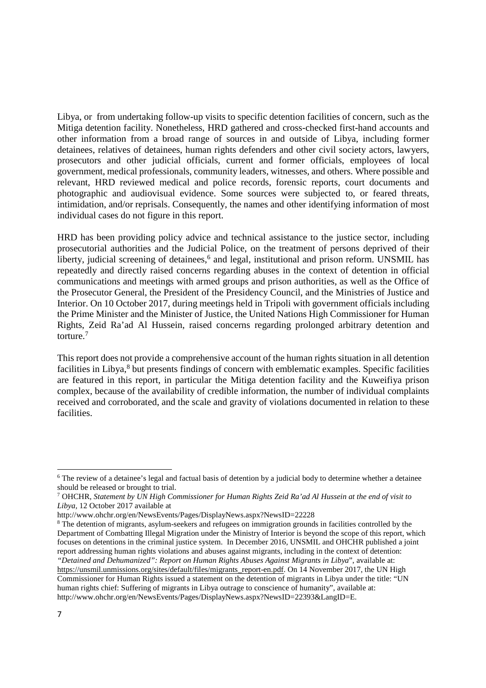Libya, or from undertaking follow-up visits to specific detention facilities of concern, such as the Mitiga detention facility. Nonetheless, HRD gathered and cross-checked first-hand accounts and other information from a broad range of sources in and outside of Libya, including former detainees, relatives of detainees, human rights defenders and other civil society actors, lawyers, prosecutors and other judicial officials, current and former officials, employees of local government, medical professionals, community leaders, witnesses, and others. Where possible and relevant, HRD reviewed medical and police records, forensic reports, court documents and photographic and audiovisual evidence. Some sources were subjected to, or feared threats, intimidation, and/or reprisals. Consequently, the names and other identifying information of most individual cases do not figure in this report.

HRD has been providing policy advice and technical assistance to the justice sector, including prosecutorial authorities and the Judicial Police, on the treatment of persons deprived of their liberty, judicial screening of detainees,<sup>6</sup> and legal, institutional and prison reform. UNSMIL has repeatedly and directly raised concerns regarding abuses in the context of detention in official communications and meetings with armed groups and prison authorities, as well as the Office of the Prosecutor General, the President of the Presidency Council, and the Ministries of Justice and Interior. On 10 October 2017, during meetings held in Tripoli with government officials including the Prime Minister and the Minister of Justice, the United Nations High Commissioner for Human Rights, Zeid Ra'ad Al Hussein, raised concerns regarding prolonged arbitrary detention and torture.<sup>7</sup>

This report does not provide a comprehensive account of the human rights situation in all detention facilities in Libya,<sup>8</sup> but presents findings of concern with emblematic examples. Specific facilities are featured in this report, in particular the Mitiga detention facility and the Kuweifiya prison complex, because of the availability of credible information, the number of individual complaints received and corroborated, and the scale and gravity of violations documented in relation to these facilities.

<sup>&</sup>lt;sup>6</sup> The review of a detainee's legal and factual basis of detention by a judicial body to determine whether a detainee should be released or brought to trial.

<sup>7</sup> OHCHR, *Statement by UN High Commissioner for Human Rights Zeid Ra'ad Al Hussein at the end of visit to Libya,* 12 October 2017 available at

http://www.ohchr.org/en/NewsEvents/Pages/DisplayNews.aspx?NewsID=22228

<sup>&</sup>lt;sup>8</sup> The detention of migrants, asylum-seekers and refugees on immigration grounds in facilities controlled by the Department of Combatting Illegal Migration under the Ministry of Interior is beyond the scope of this report, which focuses on detentions in the criminal justice system. In December 2016, UNSMIL and OHCHR published a joint report addressing human rights violations and abuses against migrants, including in the context of detention: *"Detained and Dehumanized": Report on Human Rights Abuses Against Migrants in Libya*", available at:

https://unsmil.unmissions.org/sites/default/files/migrants\_report-en.pdf. On 14 November 2017, the UN High Commissioner for Human Rights issued a statement on the detention of migrants in Libya under the title: "UN human rights chief: Suffering of migrants in Libya outrage to conscience of humanity", available at: http://www.ohchr.org/en/NewsEvents/Pages/DisplayNews.aspx?NewsID=22393&LangID=E.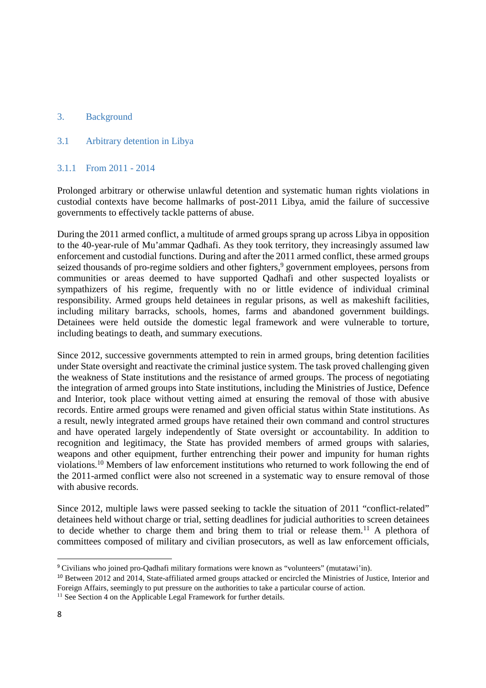## 3. Background

#### 3.1 Arbitrary detention in Libya

#### 3.1.1 From 2011 - 2014

Prolonged arbitrary or otherwise unlawful detention and systematic human rights violations in custodial contexts have become hallmarks of post-2011 Libya, amid the failure of successive governments to effectively tackle patterns of abuse.

During the 2011 armed conflict, a multitude of armed groups sprang up across Libya in opposition to the 40-year-rule of Mu'ammar Qadhafi. As they took territory, they increasingly assumed law enforcement and custodial functions. During and after the 2011 armed conflict, these armed groups seized thousands of pro-regime soldiers and other fighters,<sup>9</sup> government employees, persons from communities or areas deemed to have supported Qadhafi and other suspected loyalists or sympathizers of his regime, frequently with no or little evidence of individual criminal responsibility. Armed groups held detainees in regular prisons, as well as makeshift facilities, including military barracks, schools, homes, farms and abandoned government buildings. Detainees were held outside the domestic legal framework and were vulnerable to torture, including beatings to death, and summary executions.

Since 2012, successive governments attempted to rein in armed groups, bring detention facilities under State oversight and reactivate the criminal justice system. The task proved challenging given the weakness of State institutions and the resistance of armed groups. The process of negotiating the integration of armed groups into State institutions, including the Ministries of Justice, Defence and Interior, took place without vetting aimed at ensuring the removal of those with abusive records. Entire armed groups were renamed and given official status within State institutions. As a result, newly integrated armed groups have retained their own command and control structures and have operated largely independently of State oversight or accountability. In addition to recognition and legitimacy, the State has provided members of armed groups with salaries, weapons and other equipment, further entrenching their power and impunity for human rights violations.<sup>10</sup> Members of law enforcement institutions who returned to work following the end of the 2011-armed conflict were also not screened in a systematic way to ensure removal of those with abusive records.

Since 2012, multiple laws were passed seeking to tackle the situation of 2011 "conflict-related" detainees held without charge or trial, setting deadlines for judicial authorities to screen detainees to decide whether to charge them and bring them to trial or release them.<sup>11</sup> A plethora of committees composed of military and civilian prosecutors, as well as law enforcement officials,

<sup>9</sup> Civilians who joined pro-Qadhafi military formations were known as "volunteers" (mutatawi'in).

<sup>&</sup>lt;sup>10</sup> Between 2012 and 2014. State-affiliated armed groups attacked or encircled the Ministries of Justice, Interior and Foreign Affairs, seemingly to put pressure on the authorities to take a particular course of action.

<sup>&</sup>lt;sup>11</sup> See Section 4 on the Applicable Legal Framework for further details.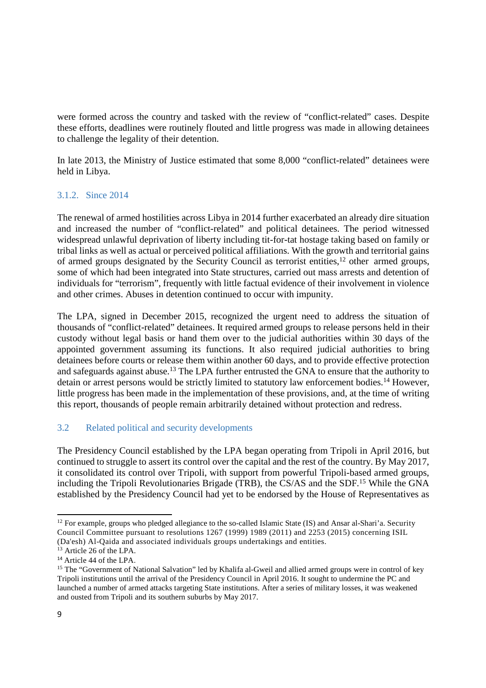were formed across the country and tasked with the review of "conflict-related" cases. Despite these efforts, deadlines were routinely flouted and little progress was made in allowing detainees to challenge the legality of their detention.

In late 2013, the Ministry of Justice estimated that some 8,000 "conflict-related" detainees were held in Libya.

## 3.1.2. Since 2014

The renewal of armed hostilities across Libya in 2014 further exacerbated an already dire situation and increased the number of "conflict-related" and political detainees. The period witnessed widespread unlawful deprivation of liberty including tit-for-tat hostage taking based on family or tribal links as well as actual or perceived political affiliations. With the growth and territorial gains of armed groups designated by the Security Council as terrorist entities,<sup>12</sup> other armed groups, some of which had been integrated into State structures, carried out mass arrests and detention of individuals for "terrorism", frequently with little factual evidence of their involvement in violence and other crimes. Abuses in detention continued to occur with impunity.

The LPA, signed in December 2015, recognized the urgent need to address the situation of thousands of "conflict-related" detainees. It required armed groups to release persons held in their custody without legal basis or hand them over to the judicial authorities within 30 days of the appointed government assuming its functions. It also required judicial authorities to bring detainees before courts or release them within another 60 days, and to provide effective protection and safeguards against abuse.<sup>13</sup> The LPA further entrusted the GNA to ensure that the authority to detain or arrest persons would be strictly limited to statutory law enforcement bodies.<sup>14</sup> However, little progress has been made in the implementation of these provisions, and, at the time of writing this report, thousands of people remain arbitrarily detained without protection and redress.

## 3.2 Related political and security developments

The Presidency Council established by the LPA began operating from Tripoli in April 2016, but continued to struggle to assert its control over the capital and the rest of the country. By May 2017, it consolidated its control over Tripoli, with support from powerful Tripoli-based armed groups, including the Tripoli Revolutionaries Brigade (TRB), the CS/AS and the SDF.<sup>15</sup> While the GNA established by the Presidency Council had yet to be endorsed by the House of Representatives as

<sup>&</sup>lt;sup>12</sup> For example, groups who pledged allegiance to the so-called Islamic State (IS) and Ansar al-Shari'a. Security Council Committee pursuant to resolutions 1267 (1999) 1989 (2011) and 2253 (2015) concerning ISIL (Da'esh) Al-Qaida and associated individuals groups undertakings and entities.

<sup>&</sup>lt;sup>13</sup> Article 26 of the LPA.

<sup>14</sup> Article 44 of the LPA.

<sup>&</sup>lt;sup>15</sup> The "Government of National Salvation" led by Khalifa al-Gweil and allied armed groups were in control of key Tripoli institutions until the arrival of the Presidency Council in April 2016. It sought to undermine the PC and launched a number of armed attacks targeting State institutions. After a series of military losses, it was weakened and ousted from Tripoli and its southern suburbs by May 2017.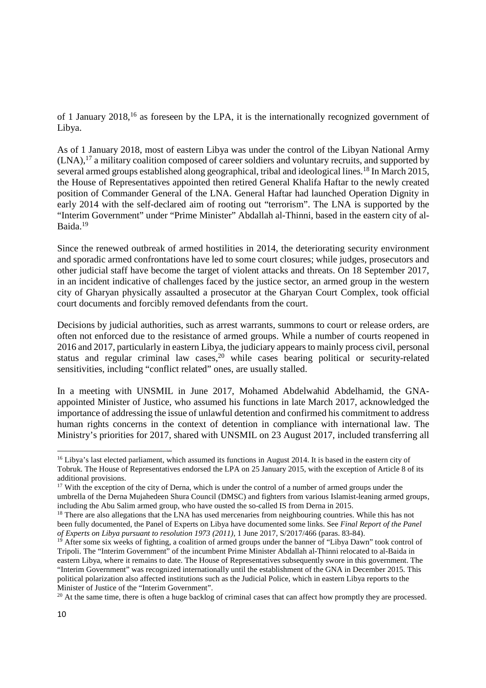of 1 January 2018,<sup>16</sup> as foreseen by the LPA, it is the internationally recognized government of Libya.

As of 1 January 2018, most of eastern Libya was under the control of the Libyan National Army (LNA),<sup>17</sup> a military coalition composed of career soldiers and voluntary recruits, and supported by several armed groups established along geographical, tribal and ideological lines.<sup>18</sup> In March 2015, the House of Representatives appointed then retired General Khalifa Haftar to the newly created position of Commander General of the LNA. General Haftar had launched Operation Dignity in early 2014 with the self-declared aim of rooting out "terrorism". The LNA is supported by the "Interim Government" under "Prime Minister" Abdallah al-Thinni, based in the eastern city of al-Baida.<sup>19</sup>

Since the renewed outbreak of armed hostilities in 2014, the deteriorating security environment and sporadic armed confrontations have led to some court closures; while judges, prosecutors and other judicial staff have become the target of violent attacks and threats. On 18 September 2017, in an incident indicative of challenges faced by the justice sector, an armed group in the western city of Gharyan physically assaulted a prosecutor at the Gharyan Court Complex, took official court documents and forcibly removed defendants from the court.

Decisions by judicial authorities, such as arrest warrants, summons to court or release orders, are often not enforced due to the resistance of armed groups. While a number of courts reopened in 2016 and 2017, particularly in eastern Libya, the judiciary appears to mainly process civil, personal status and regular criminal law cases,<sup>20</sup> while cases bearing political or security-related sensitivities, including "conflict related" ones, are usually stalled.

In a meeting with UNSMIL in June 2017, Mohamed Abdelwahid Abdelhamid, the GNAappointed Minister of Justice, who assumed his functions in late March 2017, acknowledged the importance of addressing the issue of unlawful detention and confirmed his commitment to address human rights concerns in the context of detention in compliance with international law. The Ministry's priorities for 2017, shared with UNSMIL on 23 August 2017, included transferring all

<sup>20</sup> At the same time, there is often a huge backlog of criminal cases that can affect how promptly they are processed.

<sup>&</sup>lt;sup>16</sup> Libya's last elected parliament, which assumed its functions in August 2014. It is based in the eastern city of Tobruk. The House of Representatives endorsed the LPA on 25 January 2015, with the exception of Article 8 of its additional provisions.

<sup>&</sup>lt;sup>17</sup> With the exception of the city of Derna, which is under the control of a number of armed groups under the umbrella of the Derna Mujahedeen Shura Council (DMSC) and fighters from various Islamist-leaning armed groups, including the Abu Salim armed group, who have ousted the so-called IS from Derna in 2015.

<sup>&</sup>lt;sup>18</sup> There are also allegations that the LNA has used mercenaries from neighbouring countries. While this has not been fully documented, the Panel of Experts on Libya have documented some links. See *Final Report of the Panel of Experts on Libya pursuant to resolution 1973 (2011)*, 1 June 2017, S/2017/466 (paras. 83-84).

<sup>&</sup>lt;sup>19</sup> After some six weeks of fighting, a coalition of armed groups under the banner of "Libya Dawn" took control of Tripoli. The "Interim Government" of the incumbent Prime Minister Abdallah al-Thinni relocated to al-Baida in eastern Libya, where it remains to date. The House of Representatives subsequently swore in this government. The "Interim Government" was recognized internationally until the establishment of the GNA in December 2015. This political polarization also affected institutions such as the Judicial Police, which in eastern Libya reports to the Minister of Justice of the "Interim Government".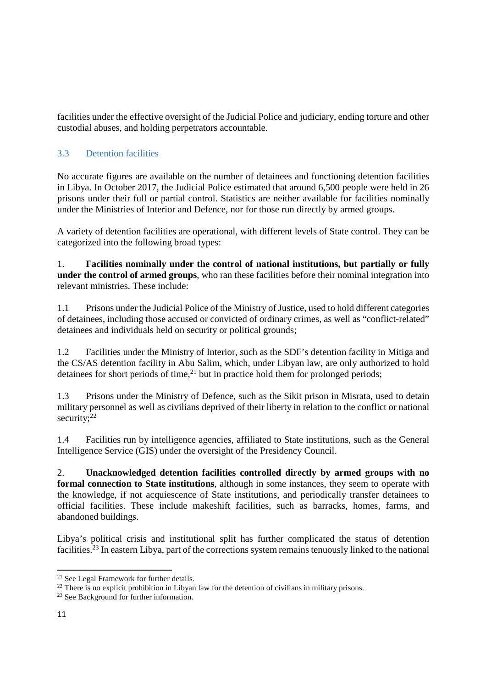facilities under the effective oversight of the Judicial Police and judiciary, ending torture and other custodial abuses, and holding perpetrators accountable.

## 3.3 Detention facilities

No accurate figures are available on the number of detainees and functioning detention facilities in Libya. In October 2017, the Judicial Police estimated that around 6,500 people were held in 26 prisons under their full or partial control. Statistics are neither available for facilities nominally under the Ministries of Interior and Defence, nor for those run directly by armed groups.

A variety of detention facilities are operational, with different levels of State control. They can be categorized into the following broad types:

1. **Facilities nominally under the control of national institutions, but partially or fully under the control of armed groups**, who ran these facilities before their nominal integration into relevant ministries. These include:

1.1 Prisons under the Judicial Police of the Ministry of Justice, used to hold different categories of detainees, including those accused or convicted of ordinary crimes, as well as "conflict-related" detainees and individuals held on security or political grounds;

1.2 Facilities under the Ministry of Interior, such as the SDF's detention facility in Mitiga and the CS/AS detention facility in Abu Salim, which, under Libyan law, are only authorized to hold detainees for short periods of time, $^{21}$  but in practice hold them for prolonged periods;

1.3 Prisons under the Ministry of Defence, such as the Sikit prison in Misrata, used to detain military personnel as well as civilians deprived of their liberty in relation to the conflict or national security; $22$ 

1.4 Facilities run by intelligence agencies, affiliated to State institutions, such as the General Intelligence Service (GIS) under the oversight of the Presidency Council.

2. **Unacknowledged detention facilities controlled directly by armed groups with no formal connection to State institutions**, although in some instances, they seem to operate with the knowledge, if not acquiescence of State institutions, and periodically transfer detainees to official facilities. These include makeshift facilities, such as barracks, homes, farms, and abandoned buildings.

Libya's political crisis and institutional split has further complicated the status of detention facilities.<sup>23</sup> In eastern Libya, part of the corrections system remains tenuously linked to the national

<sup>21</sup> See Legal Framework for further details.

<sup>&</sup>lt;sup>22</sup> There is no explicit prohibition in Libyan law for the detention of civilians in military prisons.

<sup>&</sup>lt;sup>23</sup> See Background for further information.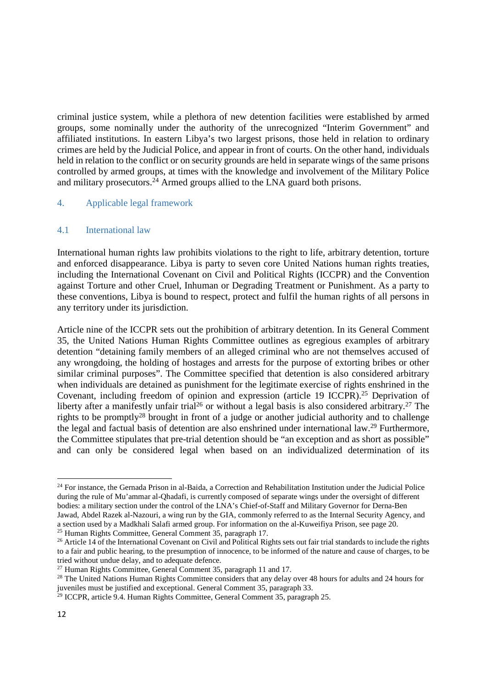criminal justice system, while a plethora of new detention facilities were established by armed groups, some nominally under the authority of the unrecognized "Interim Government" and affiliated institutions. In eastern Libya's two largest prisons, those held in relation to ordinary crimes are held by the Judicial Police, and appear in front of courts. On the other hand, individuals held in relation to the conflict or on security grounds are held in separate wings of the same prisons controlled by armed groups, at times with the knowledge and involvement of the Military Police and military prosecutors.<sup>24</sup> Armed groups allied to the LNA guard both prisons.

## 4. Applicable legal framework

#### 4.1 International law

International human rights law prohibits violations to the right to life, arbitrary detention, torture and enforced disappearance. Libya is party to seven core United Nations human rights treaties, including the International Covenant on Civil and Political Rights (ICCPR) and the Convention against Torture and other Cruel, Inhuman or Degrading Treatment or Punishment. As a party to these conventions, Libya is bound to respect, protect and fulfil the human rights of all persons in any territory under its jurisdiction.

Article nine of the ICCPR sets out the prohibition of arbitrary detention. In its General Comment 35, the United Nations Human Rights Committee outlines as egregious examples of arbitrary detention "detaining family members of an alleged criminal who are not themselves accused of any wrongdoing, the holding of hostages and arrests for the purpose of extorting bribes or other similar criminal purposes". The Committee specified that detention is also considered arbitrary when individuals are detained as punishment for the legitimate exercise of rights enshrined in the Covenant, including freedom of opinion and expression (article 19 ICCPR).<sup>25</sup> Deprivation of liberty after a manifestly unfair trial<sup>26</sup> or without a legal basis is also considered arbitrary.<sup>27</sup> The rights to be promptly<sup>28</sup> brought in front of a judge or another judicial authority and to challenge the legal and factual basis of detention are also enshrined under international law.<sup>29</sup> Furthermore, the Committee stipulates that pre-trial detention should be "an exception and as short as possible" and can only be considered legal when based on an individualized determination of its

<sup>&</sup>lt;sup>24</sup> For instance, the Gernada Prison in al-Baida, a Correction and Rehabilitation Institution under the Judicial Police during the rule of Mu'ammar al-Qhadafi, is currently composed of separate wings under the oversight of different bodies: a military section under the control of the LNA's Chief-of-Staff and Military Governor for Derna-Ben Jawad, Abdel Razek al-Nazouri, a wing run by the GIA, commonly referred to as the Internal Security Agency, and a section used by a Madkhali Salafi armed group. For information on the al-Kuweifiya Prison, see page 20. <sup>25</sup> Human Rights Committee, General Comment 35, paragraph 17.

<sup>&</sup>lt;sup>26</sup> Article 14 of the International Covenant on Civil and Political Rights sets out fair trial standards to include the rights to a fair and public hearing, to the presumption of innocence, to be informed of the nature and cause of charges, to be tried without undue delay, and to adequate defence.

 $27$  Human Rights Committee, General Comment 35, paragraph 11 and 17.

<sup>&</sup>lt;sup>28</sup> The United Nations Human Rights Committee considers that any delay over 48 hours for adults and 24 hours for juveniles must be justified and exceptional. General Comment 35, paragraph 33.

 $29$  ICCPR, article 9.4. Human Rights Committee, General Comment 35, paragraph 25.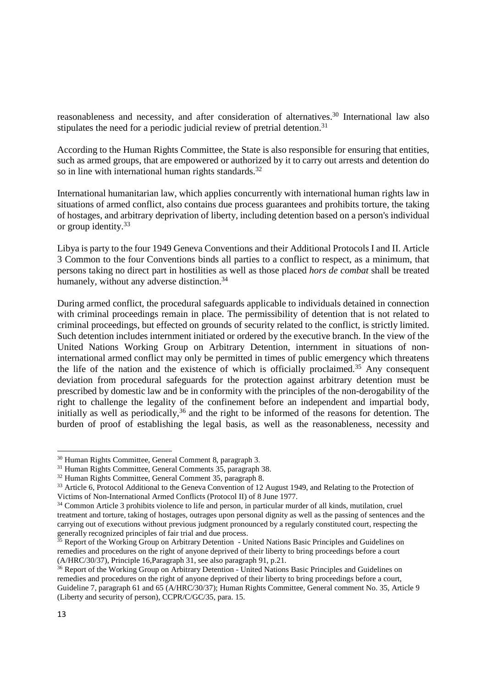reasonableness and necessity, and after consideration of alternatives.<sup>30</sup> International law also stipulates the need for a periodic judicial review of pretrial detention.<sup>31</sup>

According to the Human Rights Committee, the State is also responsible for ensuring that entities, such as armed groups, that are empowered or authorized by it to carry out arrests and detention do so in line with international human rights standards.<sup>32</sup>

International humanitarian law, which applies concurrently with international human rights law in situations of armed conflict, also contains due process guarantees and prohibits torture, the taking of hostages, and arbitrary deprivation of liberty, including detention based on a person's individual or group identity.<sup>33</sup>

Libya is party to the four 1949 Geneva Conventions and their Additional Protocols I and II. Article 3 Common to the four Conventions binds all parties to a conflict to respect, as a minimum, that persons taking no direct part in hostilities as well as those placed *hors de combat* shall be treated humanely, without any adverse distinction.<sup>34</sup>

During armed conflict, the procedural safeguards applicable to individuals detained in connection with criminal proceedings remain in place. The permissibility of detention that is not related to criminal proceedings, but effected on grounds of security related to the conflict, is strictly limited. Such detention includes internment initiated or ordered by the executive branch. In the view of the United Nations Working Group on Arbitrary Detention, internment in situations of noninternational armed conflict may only be permitted in times of public emergency which threatens the life of the nation and the existence of which is officially proclaimed.<sup>35</sup> Any consequent deviation from procedural safeguards for the protection against arbitrary detention must be prescribed by domestic law and be in conformity with the principles of the non-derogability of the right to challenge the legality of the confinement before an independent and impartial body, initially as well as periodically,<sup>36</sup> and the right to be informed of the reasons for detention. The burden of proof of establishing the legal basis, as well as the reasonableness, necessity and

<sup>30</sup> Human Rights Committee, General Comment 8, paragraph 3.

<sup>&</sup>lt;sup>31</sup> Human Rights Committee, General Comments 35, paragraph 38.

<sup>32</sup> Human Rights Committee, General Comment 35, paragraph 8.

<sup>&</sup>lt;sup>33</sup> Article 6, Protocol Additional to the Geneva Convention of 12 August 1949, and Relating to the Protection of Victims of Non-International Armed Conflicts (Protocol II) of 8 June 1977.

<sup>34</sup> Common Article 3 prohibits violence to life and person, in particular murder of all kinds, mutilation, cruel treatment and torture, taking of hostages, outrages upon personal dignity as well as the passing of sentences and the carrying out of executions without previous judgment pronounced by a regularly constituted court, respecting the generally recognized principles of fair trial and due process.

<sup>&</sup>lt;sup>35</sup> Report of the Working Group on Arbitrary Detention - United Nations Basic Principles and Guidelines on remedies and procedures on the right of anyone deprived of their liberty to bring proceedings before a court (A/HRC/30/37), Principle 16,Paragraph 31, see also paragraph 91, p.21.

<sup>&</sup>lt;sup>36</sup> Report of the Working Group on Arbitrary Detention - United Nations Basic Principles and Guidelines on remedies and procedures on the right of anyone deprived of their liberty to bring proceedings before a court, Guideline 7, paragraph 61 and 65 (A/HRC/30/37); Human Rights Committee, General comment No. 35, Article 9 (Liberty and security of person), CCPR/C/GC/35, para. 15.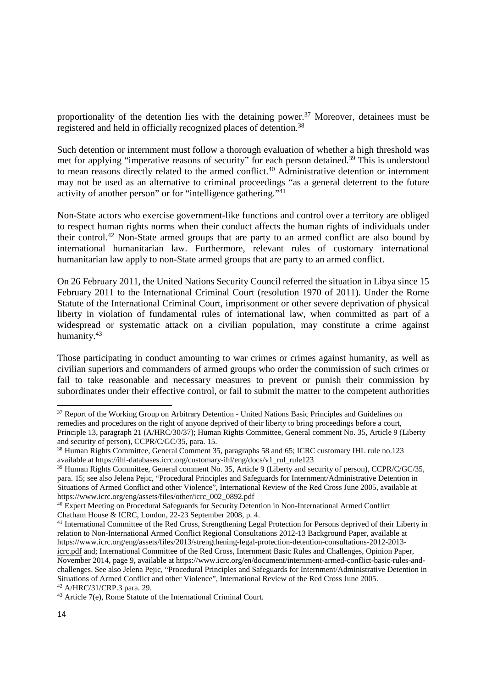proportionality of the detention lies with the detaining power.<sup>37</sup> Moreover, detainees must be registered and held in officially recognized places of detention.<sup>38</sup>

Such detention or internment must follow a thorough evaluation of whether a high threshold was met for applying "imperative reasons of security" for each person detained.<sup>39</sup> This is understood to mean reasons directly related to the armed conflict.<sup>40</sup> Administrative detention or internment may not be used as an alternative to criminal proceedings "as a general deterrent to the future activity of another person" or for "intelligence gathering."<sup>41</sup>

Non-State actors who exercise government-like functions and control over a territory are obliged to respect human rights norms when their conduct affects the human rights of individuals under their control.<sup>42</sup> Non-State armed groups that are party to an armed conflict are also bound by international humanitarian law. Furthermore, relevant rules of customary international humanitarian law apply to non-State armed groups that are party to an armed conflict.

On 26 February 2011, the United Nations Security Council referred the situation in Libya since 15 February 2011 to the International Criminal Court (resolution 1970 of 2011). Under the Rome Statute of the International Criminal Court, imprisonment or other severe deprivation of physical liberty in violation of fundamental rules of international law, when committed as part of a widespread or systematic attack on a civilian population, may constitute a crime against humanity.<sup>43</sup>

Those participating in conduct amounting to war crimes or crimes against humanity, as well as civilian superiors and commanders of armed groups who order the commission of such crimes or fail to take reasonable and necessary measures to prevent or punish their commission by subordinates under their effective control, or fail to submit the matter to the competent authorities

<sup>&</sup>lt;sup>37</sup> Report of the Working Group on Arbitrary Detention - United Nations Basic Principles and Guidelines on remedies and procedures on the right of anyone deprived of their liberty to bring proceedings before a court, Principle 13, paragraph 21 (A/HRC/30/37); Human Rights Committee, General comment No. 35, Article 9 (Liberty and security of person), CCPR/C/GC/35, para. 15.

<sup>&</sup>lt;sup>38</sup> Human Rights Committee, General Comment 35, paragraphs 58 and 65; ICRC customary IHL rule no.123 available at https://ihl-databases.icrc.org/customary-ihl/eng/docs/v1\_rul\_rule123

<sup>&</sup>lt;sup>39</sup> Human Rights Committee, General comment No. 35, Article 9 (Liberty and security of person), CCPR/C/GC/35, para. 15; see also Jelena Pejic, "Procedural Principles and Safeguards for Internment/Administrative Detention in Situations of Armed Conflict and other Violence", International Review of the Red Cross June 2005, available at https://www.icrc.org/eng/assets/files/other/icrc\_002\_0892.pdf

<sup>40</sup> Expert Meeting on Procedural Safeguards for Security Detention in Non-International Armed Conflict Chatham House & ICRC, London, 22-23 September 2008, p. 4.

<sup>41</sup> International Committee of the Red Cross, Strengthening Legal Protection for Persons deprived of their Liberty in relation to Non-International Armed Conflict Regional Consultations 2012-13 Background Paper, available at https://www.icrc.org/eng/assets/files/2013/strengthening-legal-protection-detention-consultations-2012-2013-

icrc.pdf and; International Committee of the Red Cross, Internment Basic Rules and Challenges, Opinion Paper, November 2014, page 9, available at https://www.icrc.org/en/document/internment-armed-conflict-basic-rules-andchallenges. See also Jelena Pejic, "Procedural Principles and Safeguards for Internment/Administrative Detention in Situations of Armed Conflict and other Violence", International Review of the Red Cross June 2005. <sup>42</sup> A/HRC/31/CRP.3 para. 29.

<sup>43</sup> Article 7(e), Rome Statute of the International Criminal Court.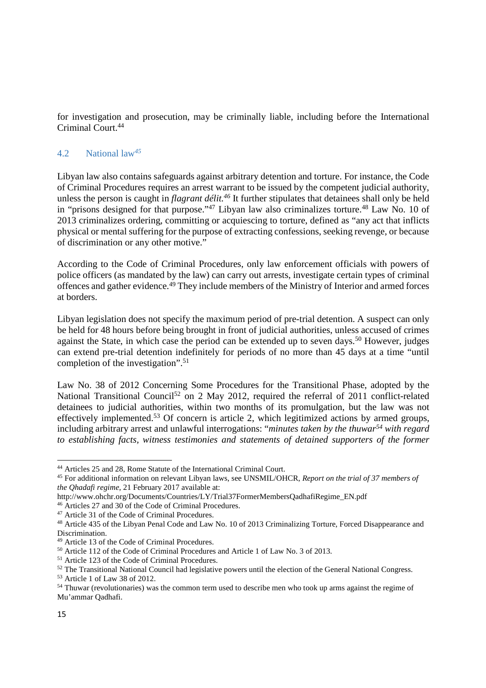for investigation and prosecution, may be criminally liable, including before the International Criminal Court.<sup>44</sup>

## 4.2 National law*<sup>45</sup>*

Libyan law also contains safeguards against arbitrary detention and torture. For instance, the Code of Criminal Procedures requires an arrest warrant to be issued by the competent judicial authority, unless the person is caught in *flagrant délit.<sup>46</sup>* It further stipulates that detainees shall only be held in "prisons designed for that purpose."<sup>47</sup> Libyan law also criminalizes torture.<sup>48</sup> Law No. 10 of 2013 criminalizes ordering, committing or acquiescing to torture, defined as "any act that inflicts physical or mental suffering for the purpose of extracting confessions, seeking revenge, or because of discrimination or any other motive."

According to the Code of Criminal Procedures, only law enforcement officials with powers of police officers (as mandated by the law) can carry out arrests, investigate certain types of criminal offences and gather evidence.<sup>49</sup> They include members of the Ministry of Interior and armed forces at borders.

Libyan legislation does not specify the maximum period of pre-trial detention. A suspect can only be held for 48 hours before being brought in front of judicial authorities, unless accused of crimes against the State, in which case the period can be extended up to seven days.<sup>50</sup> However, judges can extend pre-trial detention indefinitely for periods of no more than 45 days at a time "until completion of the investigation".<sup>51</sup>

Law No. 38 of 2012 Concerning Some Procedures for the Transitional Phase, adopted by the National Transitional Council<sup>52</sup> on 2 May 2012, required the referral of 2011 conflict-related detainees to judicial authorities, within two months of its promulgation, but the law was not effectively implemented.<sup>53</sup> Of concern is article 2, which legitimized actions by armed groups, including arbitrary arrest and unlawful interrogations: "*minutes taken by the thuwar<sup>54</sup> with regard to establishing facts, witness testimonies and statements of detained supporters of the former* 

<sup>44</sup> Articles 25 and 28, Rome Statute of the International Criminal Court.

<sup>45</sup> For additional information on relevant Libyan laws, see UNSMIL/OHCR, *Report on the trial of 37 members of the Qhadafi regime*, 21 February 2017 available at:

http://www.ohchr.org/Documents/Countries/LY/Trial37FormerMembersQadhafiRegime\_EN.pdf

<sup>46</sup> Articles 27 and 30 of the Code of Criminal Procedures.

<sup>47</sup> Article 31 of the Code of Criminal Procedures.

<sup>48</sup> Article 435 of the Libyan Penal Code and Law No. 10 of 2013 Criminalizing Torture, Forced Disappearance and Discrimination.

<sup>49</sup> Article 13 of the Code of Criminal Procedures.

<sup>50</sup> Article 112 of the Code of Criminal Procedures and Article 1 of Law No. 3 of 2013.

<sup>51</sup> Article 123 of the Code of Criminal Procedures.

<sup>&</sup>lt;sup>52</sup> The Transitional National Council had legislative powers until the election of the General National Congress.

<sup>53</sup> Article 1 of Law 38 of 2012.

<sup>54</sup> Thuwar (revolutionaries) was the common term used to describe men who took up arms against the regime of Mu'ammar Qadhafi.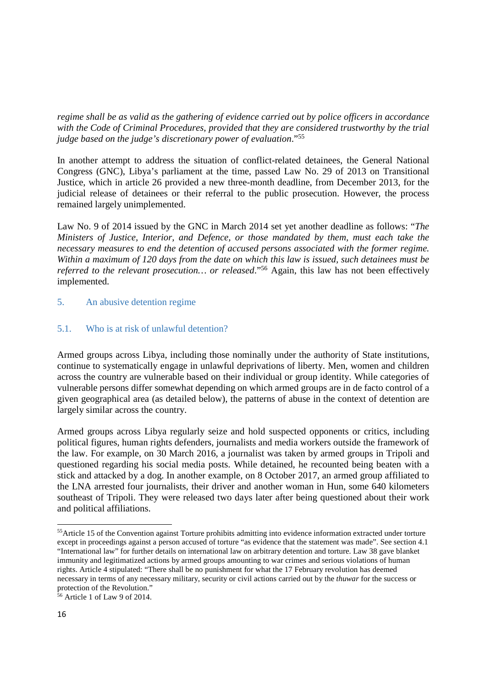*regime shall be as valid as the gathering of evidence carried out by police officers in accordance with the Code of Criminal Procedures, provided that they are considered trustworthy by the trial judge based on the judge's discretionary power of evaluation*."<sup>55</sup>

In another attempt to address the situation of conflict-related detainees, the General National Congress (GNC), Libya's parliament at the time, passed Law No. 29 of 2013 on Transitional Justice, which in article 26 provided a new three-month deadline, from December 2013, for the judicial release of detainees or their referral to the public prosecution. However, the process remained largely unimplemented.

Law No. 9 of 2014 issued by the GNC in March 2014 set yet another deadline as follows: "*The Ministers of Justice, Interior, and Defence, or those mandated by them, must each take the necessary measures to end the detention of accused persons associated with the former regime. Within a maximum of 120 days from the date on which this law is issued, such detainees must be referred to the relevant prosecution… or released*."<sup>56</sup> Again, this law has not been effectively implemented.

## 5. An abusive detention regime

## 5.1. Who is at risk of unlawful detention?

Armed groups across Libya, including those nominally under the authority of State institutions, continue to systematically engage in unlawful deprivations of liberty. Men, women and children across the country are vulnerable based on their individual or group identity. While categories of vulnerable persons differ somewhat depending on which armed groups are in de facto control of a given geographical area (as detailed below), the patterns of abuse in the context of detention are largely similar across the country.

Armed groups across Libya regularly seize and hold suspected opponents or critics, including political figures, human rights defenders, journalists and media workers outside the framework of the law. For example, on 30 March 2016, a journalist was taken by armed groups in Tripoli and questioned regarding his social media posts. While detained, he recounted being beaten with a stick and attacked by a dog. In another example, on 8 October 2017, an armed group affiliated to the LNA arrested four journalists, their driver and another woman in Hun, some 640 kilometers southeast of Tripoli. They were released two days later after being questioned about their work and political affiliations.

<sup>&</sup>lt;sup>55</sup>Article 15 of the Convention against Torture prohibits admitting into evidence information extracted under torture except in proceedings against a person accused of torture "as evidence that the statement was made". See section 4.1 "International law" for further details on international law on arbitrary detention and torture. Law 38 gave blanket immunity and legitimatized actions by armed groups amounting to war crimes and serious violations of human rights. Article 4 stipulated: "There shall be no punishment for what the 17 February revolution has deemed necessary in terms of any necessary military, security or civil actions carried out by the *thuwar* for the success or protection of the Revolution."

<sup>56</sup> Article 1 of Law 9 of 2014.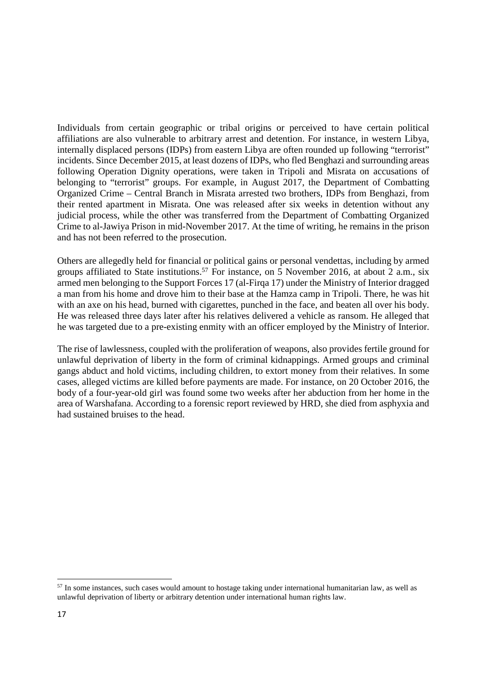Individuals from certain geographic or tribal origins or perceived to have certain political affiliations are also vulnerable to arbitrary arrest and detention. For instance, in western Libya, internally displaced persons (IDPs) from eastern Libya are often rounded up following "terrorist" incidents. Since December 2015, at least dozens of IDPs, who fled Benghazi and surrounding areas following Operation Dignity operations, were taken in Tripoli and Misrata on accusations of belonging to "terrorist" groups. For example, in August 2017, the Department of Combatting Organized Crime – Central Branch in Misrata arrested two brothers, IDPs from Benghazi, from their rented apartment in Misrata. One was released after six weeks in detention without any judicial process, while the other was transferred from the Department of Combatting Organized Crime to al-Jawiya Prison in mid-November 2017. At the time of writing, he remains in the prison and has not been referred to the prosecution.

Others are allegedly held for financial or political gains or personal vendettas, including by armed groups affiliated to State institutions.<sup>57</sup> For instance, on 5 November 2016, at about 2 a.m., six armed men belonging to the Support Forces 17 (al-Firqa 17) under the Ministry of Interior dragged a man from his home and drove him to their base at the Hamza camp in Tripoli. There, he was hit with an axe on his head, burned with cigarettes, punched in the face, and beaten all over his body. He was released three days later after his relatives delivered a vehicle as ransom. He alleged that he was targeted due to a pre-existing enmity with an officer employed by the Ministry of Interior.

The rise of lawlessness, coupled with the proliferation of weapons, also provides fertile ground for unlawful deprivation of liberty in the form of criminal kidnappings. Armed groups and criminal gangs abduct and hold victims, including children, to extort money from their relatives. In some cases, alleged victims are killed before payments are made. For instance, on 20 October 2016, the body of a four-year-old girl was found some two weeks after her abduction from her home in the area of Warshafana. According to a forensic report reviewed by HRD, she died from asphyxia and had sustained bruises to the head.

<sup>&</sup>lt;sup>57</sup> In some instances, such cases would amount to hostage taking under international humanitarian law, as well as unlawful deprivation of liberty or arbitrary detention under international human rights law.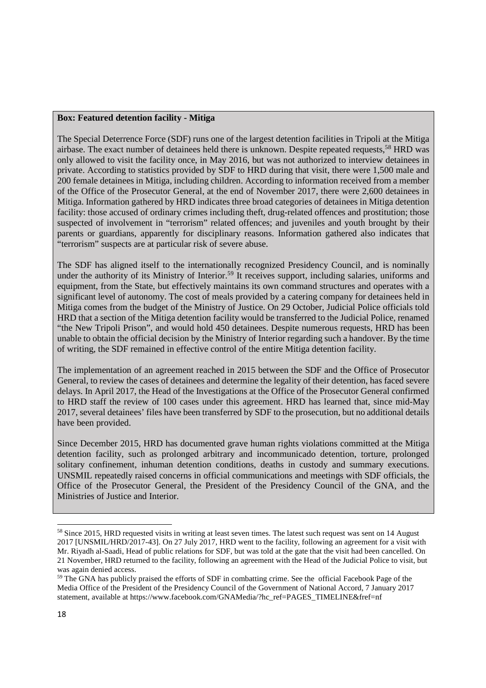#### **Box: Featured detention facility - Mitiga**

The Special Deterrence Force (SDF) runs one of the largest detention facilities in Tripoli at the Mitiga airbase. The exact number of detainees held there is unknown. Despite repeated requests,<sup>58</sup> HRD was only allowed to visit the facility once, in May 2016, but was not authorized to interview detainees in private. According to statistics provided by SDF to HRD during that visit, there were 1,500 male and 200 female detainees in Mitiga, including children. According to information received from a member of the Office of the Prosecutor General, at the end of November 2017, there were 2,600 detainees in Mitiga. Information gathered by HRD indicates three broad categories of detainees in Mitiga detention facility: those accused of ordinary crimes including theft, drug-related offences and prostitution; those suspected of involvement in "terrorism" related offences; and juveniles and youth brought by their parents or guardians, apparently for disciplinary reasons. Information gathered also indicates that "terrorism" suspects are at particular risk of severe abuse.

The SDF has aligned itself to the internationally recognized Presidency Council, and is nominally under the authority of its Ministry of Interior.<sup>59</sup> It receives support, including salaries, uniforms and equipment, from the State, but effectively maintains its own command structures and operates with a significant level of autonomy. The cost of meals provided by a catering company for detainees held in Mitiga comes from the budget of the Ministry of Justice. On 29 October, Judicial Police officials told HRD that a section of the Mitiga detention facility would be transferred to the Judicial Police, renamed "the New Tripoli Prison", and would hold 450 detainees. Despite numerous requests, HRD has been unable to obtain the official decision by the Ministry of Interior regarding such a handover. By the time of writing, the SDF remained in effective control of the entire Mitiga detention facility.

The implementation of an agreement reached in 2015 between the SDF and the Office of Prosecutor General, to review the cases of detainees and determine the legality of their detention, has faced severe delays. In April 2017, the Head of the Investigations at the Office of the Prosecutor General confirmed to HRD staff the review of 100 cases under this agreement. HRD has learned that, since mid-May 2017, several detainees' files have been transferred by SDF to the prosecution, but no additional details have been provided.

Since December 2015, HRD has documented grave human rights violations committed at the Mitiga detention facility, such as prolonged arbitrary and incommunicado detention, torture, prolonged solitary confinement, inhuman detention conditions, deaths in custody and summary executions. UNSMIL repeatedly raised concerns in official communications and meetings with SDF officials, the Office of the Prosecutor General, the President of the Presidency Council of the GNA, and the Ministries of Justice and Interior.

<sup>&</sup>lt;sup>58</sup> Since 2015, HRD requested visits in writing at least seven times. The latest such request was sent on 14 August 2017 [UNSMIL/HRD/2017-43]. On 27 July 2017, HRD went to the facility, following an agreement for a visit with Mr. Riyadh al-Saadi, Head of public relations for SDF, but was told at the gate that the visit had been cancelled. On 21 November, HRD returned to the facility, following an agreement with the Head of the Judicial Police to visit, but was again denied access.

<sup>&</sup>lt;sup>59</sup> The GNA has publicly praised the efforts of SDF in combatting crime. See the official Facebook Page of the Media Office of the President of the Presidency Council of the Government of National Accord, 7 January 2017 statement, available at https://www.facebook.com/GNAMedia/?hc\_ref=PAGES\_TIMELINE&fref=nf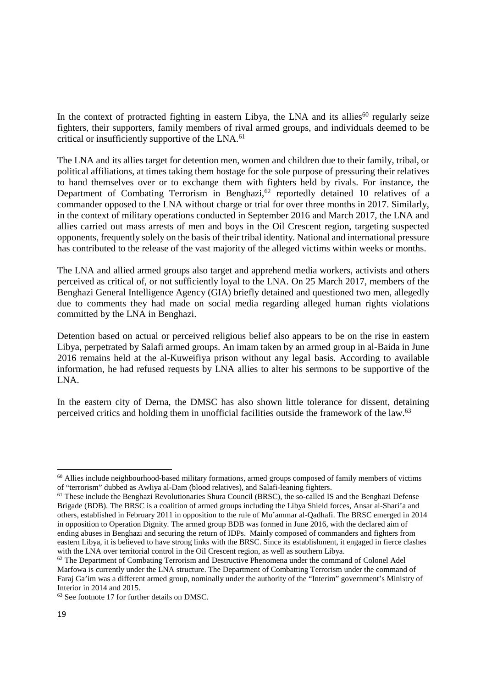In the context of protracted fighting in eastern Libya, the LNA and its allies<sup>60</sup> regularly seize fighters, their supporters, family members of rival armed groups, and individuals deemed to be critical or insufficiently supportive of the LNA.<sup>61</sup>

The LNA and its allies target for detention men, women and children due to their family, tribal, or political affiliations, at times taking them hostage for the sole purpose of pressuring their relatives to hand themselves over or to exchange them with fighters held by rivals. For instance, the Department of Combating Terrorism in Benghazi, $62$  reportedly detained 10 relatives of a commander opposed to the LNA without charge or trial for over three months in 2017. Similarly, in the context of military operations conducted in September 2016 and March 2017, the LNA and allies carried out mass arrests of men and boys in the Oil Crescent region, targeting suspected opponents, frequently solely on the basis of their tribal identity. National and international pressure has contributed to the release of the vast majority of the alleged victims within weeks or months.

The LNA and allied armed groups also target and apprehend media workers, activists and others perceived as critical of, or not sufficiently loyal to the LNA. On 25 March 2017, members of the Benghazi General Intelligence Agency (GIA) briefly detained and questioned two men, allegedly due to comments they had made on social media regarding alleged human rights violations committed by the LNA in Benghazi.

Detention based on actual or perceived religious belief also appears to be on the rise in eastern Libya, perpetrated by Salafi armed groups. An imam taken by an armed group in al-Baida in June 2016 remains held at the al-Kuweifiya prison without any legal basis. According to available information, he had refused requests by LNA allies to alter his sermons to be supportive of the LNA.

In the eastern city of Derna, the DMSC has also shown little tolerance for dissent, detaining perceived critics and holding them in unofficial facilities outside the framework of the law.<sup>63</sup>

<sup>&</sup>lt;sup>60</sup> Allies include neighbourhood-based military formations, armed groups composed of family members of victims of "terrorism" dubbed as Awliya al-Dam (blood relatives), and Salafi-leaning fighters.

<sup>&</sup>lt;sup>61</sup> These include the Benghazi Revolutionaries Shura Council (BRSC), the so-called IS and the Benghazi Defense Brigade (BDB). The BRSC is a coalition of armed groups including the Libya Shield forces, Ansar al-Shari'a and others, established in February 2011 in opposition to the rule of Mu'ammar al-Qadhafi. The BRSC emerged in 2014 in opposition to Operation Dignity. The armed group BDB was formed in June 2016, with the declared aim of ending abuses in Benghazi and securing the return of IDPs. Mainly composed of commanders and fighters from eastern Libya, it is believed to have strong links with the BRSC. Since its establishment, it engaged in fierce clashes with the LNA over territorial control in the Oil Crescent region, as well as southern Libya.

 $62$  The Department of Combating Terrorism and Destructive Phenomena under the command of Colonel Adel Marfowa is currently under the LNA structure. The Department of Combatting Terrorism under the command of Faraj Ga'im was a different armed group, nominally under the authority of the "Interim" government's Ministry of Interior in 2014 and 2015.

<sup>63</sup> See footnote 17 for further details on DMSC.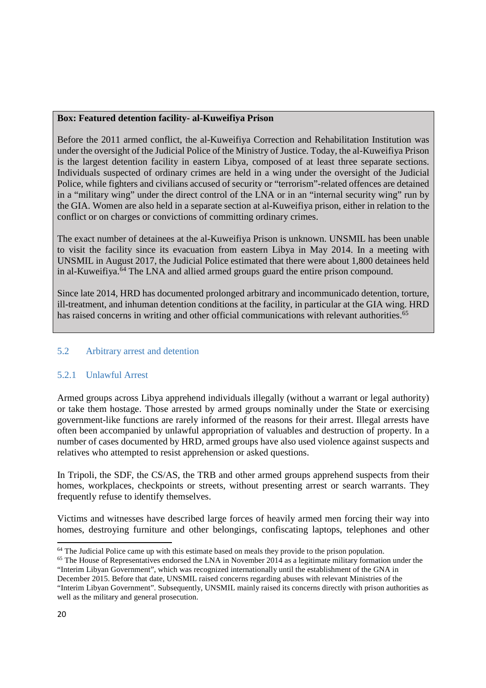#### **Box: Featured detention facility- al-Kuweifiya Prison**

Before the 2011 armed conflict, the al-Kuweifiya Correction and Rehabilitation Institution was under the oversight of the Judicial Police of the Ministry of Justice. Today, the al-Kuweifiya Prison is the largest detention facility in eastern Libya, composed of at least three separate sections. Individuals suspected of ordinary crimes are held in a wing under the oversight of the Judicial Police, while fighters and civilians accused of security or "terrorism"-related offences are detained in a "military wing" under the direct control of the LNA or in an "internal security wing" run by the GIA. Women are also held in a separate section at al-Kuweifiya prison, either in relation to the conflict or on charges or convictions of committing ordinary crimes.

The exact number of detainees at the al-Kuweifiya Prison is unknown. UNSMIL has been unable to visit the facility since its evacuation from eastern Libya in May 2014. In a meeting with UNSMIL in August 2017, the Judicial Police estimated that there were about 1,800 detainees held in al-Kuweifiya.<sup>64</sup> The LNA and allied armed groups guard the entire prison compound.

Since late 2014, HRD has documented prolonged arbitrary and incommunicado detention, torture, ill-treatment, and inhuman detention conditions at the facility, in particular at the GIA wing. HRD has raised concerns in writing and other official communications with relevant authorities.<sup>65</sup>

## 5.2 Arbitrary arrest and detention

## 5.2.1 Unlawful Arrest

Armed groups across Libya apprehend individuals illegally (without a warrant or legal authority) or take them hostage. Those arrested by armed groups nominally under the State or exercising government-like functions are rarely informed of the reasons for their arrest. Illegal arrests have often been accompanied by unlawful appropriation of valuables and destruction of property. In a number of cases documented by HRD, armed groups have also used violence against suspects and relatives who attempted to resist apprehension or asked questions.

In Tripoli, the SDF, the CS/AS, the TRB and other armed groups apprehend suspects from their homes, workplaces, checkpoints or streets, without presenting arrest or search warrants. They frequently refuse to identify themselves.

Victims and witnesses have described large forces of heavily armed men forcing their way into homes, destroying furniture and other belongings, confiscating laptops, telephones and other  $\overline{a}$ 

 $64$  The Judicial Police came up with this estimate based on meals they provide to the prison population.

<sup>&</sup>lt;sup>65</sup> The House of Representatives endorsed the LNA in November 2014 as a legitimate military formation under the "Interim Libyan Government", which was recognized internationally until the establishment of the GNA in December 2015. Before that date, UNSMIL raised concerns regarding abuses with relevant Ministries of the

<sup>&</sup>quot;Interim Libyan Government". Subsequently, UNSMIL mainly raised its concerns directly with prison authorities as well as the military and general prosecution.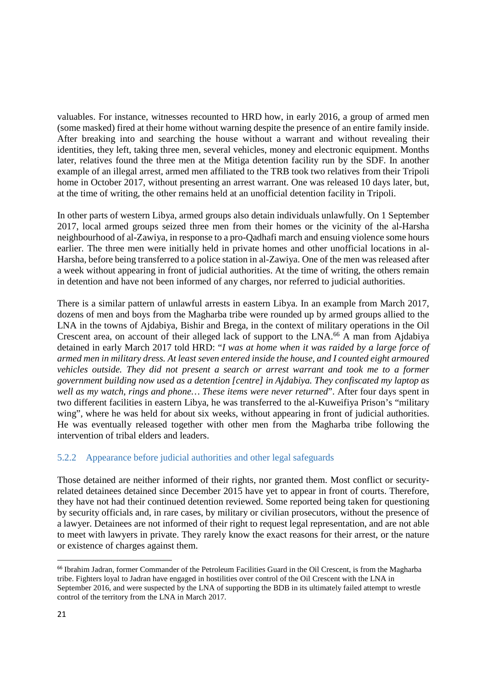valuables. For instance, witnesses recounted to HRD how, in early 2016, a group of armed men (some masked) fired at their home without warning despite the presence of an entire family inside. After breaking into and searching the house without a warrant and without revealing their identities, they left, taking three men, several vehicles, money and electronic equipment. Months later, relatives found the three men at the Mitiga detention facility run by the SDF. In another example of an illegal arrest, armed men affiliated to the TRB took two relatives from their Tripoli home in October 2017, without presenting an arrest warrant. One was released 10 days later, but, at the time of writing, the other remains held at an unofficial detention facility in Tripoli.

In other parts of western Libya, armed groups also detain individuals unlawfully. On 1 September 2017, local armed groups seized three men from their homes or the vicinity of the al-Harsha neighbourhood of al-Zawiya, in response to a pro-Qadhafi march and ensuing violence some hours earlier. The three men were initially held in private homes and other unofficial locations in al-Harsha, before being transferred to a police station in al-Zawiya. One of the men was released after a week without appearing in front of judicial authorities. At the time of writing, the others remain in detention and have not been informed of any charges, nor referred to judicial authorities.

There is a similar pattern of unlawful arrests in eastern Libya. In an example from March 2017, dozens of men and boys from the Magharba tribe were rounded up by armed groups allied to the LNA in the towns of Ajdabiya, Bishir and Brega, in the context of military operations in the Oil Crescent area, on account of their alleged lack of support to the LNA.<sup>66</sup> A man from Ajdabiya detained in early March 2017 told HRD: "*I was at home when it was raided by a large force of armed men in military dress. At least seven entered inside the house, and I counted eight armoured vehicles outside. They did not present a search or arrest warrant and took me to a former government building now used as a detention [centre] in Ajdabiya. They confiscated my laptop as well as my watch, rings and phone… These items were never returned*". After four days spent in two different facilities in eastern Libya, he was transferred to the al-Kuweifiya Prison's "military wing", where he was held for about six weeks, without appearing in front of judicial authorities. He was eventually released together with other men from the Magharba tribe following the intervention of tribal elders and leaders.

## 5.2.2 Appearance before judicial authorities and other legal safeguards

Those detained are neither informed of their rights, nor granted them. Most conflict or securityrelated detainees detained since December 2015 have yet to appear in front of courts. Therefore, they have not had their continued detention reviewed. Some reported being taken for questioning by security officials and, in rare cases, by military or civilian prosecutors, without the presence of a lawyer. Detainees are not informed of their right to request legal representation, and are not able to meet with lawyers in private. They rarely know the exact reasons for their arrest, or the nature or existence of charges against them.

<sup>66</sup> Ibrahim Jadran, former Commander of the Petroleum Facilities Guard in the Oil Crescent, is from the Magharba tribe. Fighters loyal to Jadran have engaged in hostilities over control of the Oil Crescent with the LNA in September 2016, and were suspected by the LNA of supporting the BDB in its ultimately failed attempt to wrestle control of the territory from the LNA in March 2017.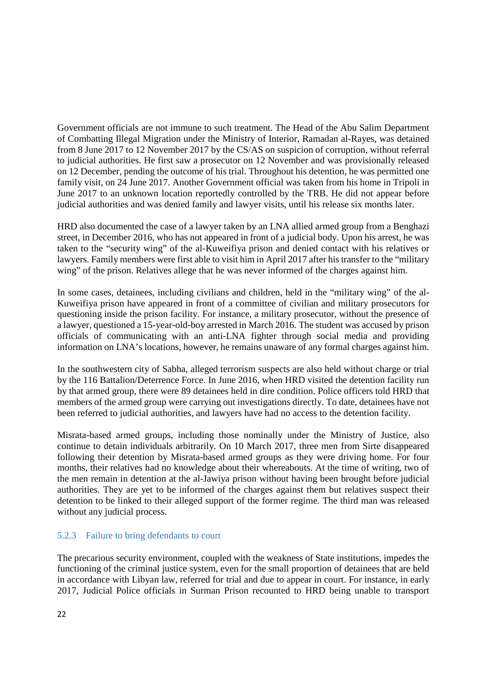Government officials are not immune to such treatment. The Head of the Abu Salim Department of Combatting Illegal Migration under the Ministry of Interior, Ramadan al-Rayes, was detained from 8 June 2017 to 12 November 2017 by the CS/AS on suspicion of corruption, without referral to judicial authorities. He first saw a prosecutor on 12 November and was provisionally released on 12 December, pending the outcome of his trial. Throughout his detention, he was permitted one family visit, on 24 June 2017. Another Government official was taken from his home in Tripoli in June 2017 to an unknown location reportedly controlled by the TRB. He did not appear before judicial authorities and was denied family and lawyer visits, until his release six months later.

HRD also documented the case of a lawyer taken by an LNA allied armed group from a Benghazi street, in December 2016, who has not appeared in front of a judicial body. Upon his arrest, he was taken to the "security wing" of the al-Kuweifiya prison and denied contact with his relatives or lawyers. Family members were first able to visit him in April 2017 after his transfer to the "military wing" of the prison. Relatives allege that he was never informed of the charges against him.

In some cases, detainees, including civilians and children, held in the "military wing" of the al-Kuweifiya prison have appeared in front of a committee of civilian and military prosecutors for questioning inside the prison facility. For instance, a military prosecutor, without the presence of a lawyer, questioned a 15-year-old-boy arrested in March 2016. The student was accused by prison officials of communicating with an anti-LNA fighter through social media and providing information on LNA's locations, however, he remains unaware of any formal charges against him.

In the southwestern city of Sabha, alleged terrorism suspects are also held without charge or trial by the 116 Battalion/Deterrence Force. In June 2016, when HRD visited the detention facility run by that armed group, there were 89 detainees held in dire condition. Police officers told HRD that members of the armed group were carrying out investigations directly. To date, detainees have not been referred to judicial authorities, and lawyers have had no access to the detention facility.

Misrata-based armed groups, including those nominally under the Ministry of Justice, also continue to detain individuals arbitrarily. On 10 March 2017, three men from Sirte disappeared following their detention by Misrata-based armed groups as they were driving home. For four months, their relatives had no knowledge about their whereabouts. At the time of writing, two of the men remain in detention at the al-Jawiya prison without having been brought before judicial authorities. They are yet to be informed of the charges against them but relatives suspect their detention to be linked to their alleged support of the former regime. The third man was released without any judicial process.

## 5.2.3 Failure to bring defendants to court

The precarious security environment, coupled with the weakness of State institutions, impedes the functioning of the criminal justice system, even for the small proportion of detainees that are held in accordance with Libyan law, referred for trial and due to appear in court. For instance, in early 2017, Judicial Police officials in Surman Prison recounted to HRD being unable to transport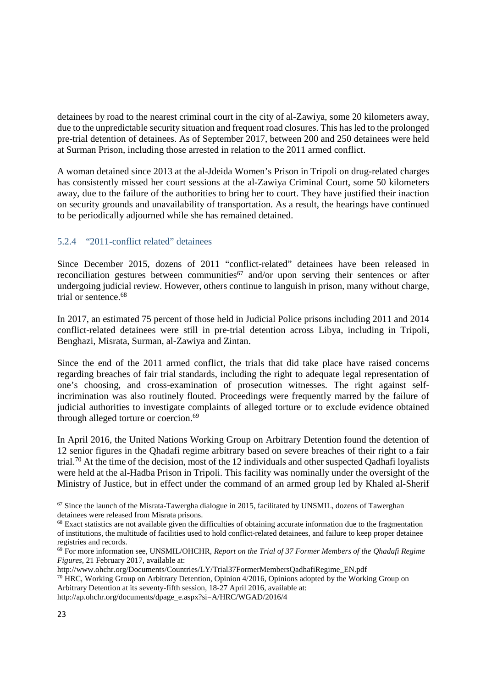detainees by road to the nearest criminal court in the city of al-Zawiya, some 20 kilometers away, due to the unpredictable security situation and frequent road closures. This has led to the prolonged pre-trial detention of detainees. As of September 2017, between 200 and 250 detainees were held at Surman Prison, including those arrested in relation to the 2011 armed conflict.

A woman detained since 2013 at the al-Jdeida Women's Prison in Tripoli on drug-related charges has consistently missed her court sessions at the al-Zawiya Criminal Court, some 50 kilometers away, due to the failure of the authorities to bring her to court. They have justified their inaction on security grounds and unavailability of transportation. As a result, the hearings have continued to be periodically adjourned while she has remained detained.

## 5.2.4 "2011-conflict related" detainees

Since December 2015, dozens of 2011 "conflict-related" detainees have been released in reconciliation gestures between communities $67$  and/or upon serving their sentences or after undergoing judicial review. However, others continue to languish in prison, many without charge, trial or sentence.<sup>68</sup>

In 2017, an estimated 75 percent of those held in Judicial Police prisons including 2011 and 2014 conflict-related detainees were still in pre-trial detention across Libya, including in Tripoli, Benghazi, Misrata, Surman, al-Zawiya and Zintan.

Since the end of the 2011 armed conflict, the trials that did take place have raised concerns regarding breaches of fair trial standards, including the right to adequate legal representation of one's choosing, and cross-examination of prosecution witnesses. The right against selfincrimination was also routinely flouted. Proceedings were frequently marred by the failure of judicial authorities to investigate complaints of alleged torture or to exclude evidence obtained through alleged torture or coercion.<sup>69</sup>

In April 2016, the United Nations Working Group on Arbitrary Detention found the detention of 12 senior figures in the Qhadafi regime arbitrary based on severe breaches of their right to a fair trial.<sup>70</sup> At the time of the decision, most of the 12 individuals and other suspected Qadhafi loyalists were held at the al-Hadba Prison in Tripoli. This facility was nominally under the oversight of the Ministry of Justice, but in effect under the command of an armed group led by Khaled al-Sherif

 $67$  Since the launch of the Misrata-Tawergha dialogue in 2015, facilitated by UNSMIL, dozens of Tawerghan detainees were released from Misrata prisons.

<sup>&</sup>lt;sup>68</sup> Exact statistics are not available given the difficulties of obtaining accurate information due to the fragmentation of institutions, the multitude of facilities used to hold conflict-related detainees, and failure to keep proper detainee registries and records.

<sup>69</sup> For more information see, UNSMIL/OHCHR, *Report on the Trial of 37 Former Members of the Qhadafi Regime Figures*, 21 February 2017, available at:

http://www.ohchr.org/Documents/Countries/LY/Trial37FormerMembersQadhafiRegime\_EN.pdf

<sup>&</sup>lt;sup>70</sup> HRC, Working Group on Arbitrary Detention, Opinion 4/2016, Opinions adopted by the Working Group on Arbitrary Detention at its seventy-fifth session, 18-27 April 2016, available at:

http://ap.ohchr.org/documents/dpage\_e.aspx?si=A/HRC/WGAD/2016/4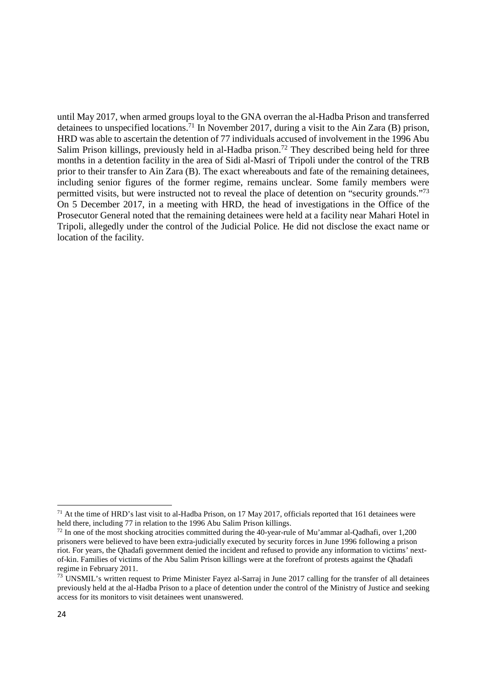until May 2017, when armed groups loyal to the GNA overran the al-Hadba Prison and transferred detainees to unspecified locations.<sup>71</sup> In November 2017, during a visit to the Ain Zara (B) prison, HRD was able to ascertain the detention of 77 individuals accused of involvement in the 1996 Abu Salim Prison killings, previously held in al-Hadba prison.<sup>72</sup> They described being held for three months in a detention facility in the area of Sidi al-Masri of Tripoli under the control of the TRB prior to their transfer to Ain Zara (B). The exact whereabouts and fate of the remaining detainees, including senior figures of the former regime, remains unclear. Some family members were permitted visits, but were instructed not to reveal the place of detention on "security grounds."<sup>73</sup> On 5 December 2017, in a meeting with HRD, the head of investigations in the Office of the Prosecutor General noted that the remaining detainees were held at a facility near Mahari Hotel in Tripoli, allegedly under the control of the Judicial Police. He did not disclose the exact name or location of the facility.

 $71$  At the time of HRD's last visit to al-Hadba Prison, on 17 May 2017, officials reported that 161 detainees were held there, including 77 in relation to the 1996 Abu Salim Prison killings.

<sup>&</sup>lt;sup>72</sup> In one of the most shocking atrocities committed during the 40-year-rule of Mu'ammar al-Qadhafi, over 1,200 prisoners were believed to have been extra-judicially executed by security forces in June 1996 following a prison riot. For years, the Qhadafi government denied the incident and refused to provide any information to victims' nextof-kin. Families of victims of the Abu Salim Prison killings were at the forefront of protests against the Qhadafi regime in February 2011.

 $73$  UNSMIL's written request to Prime Minister Fayez al-Sarraj in June 2017 calling for the transfer of all detainees previously held at the al-Hadba Prison to a place of detention under the control of the Ministry of Justice and seeking access for its monitors to visit detainees went unanswered.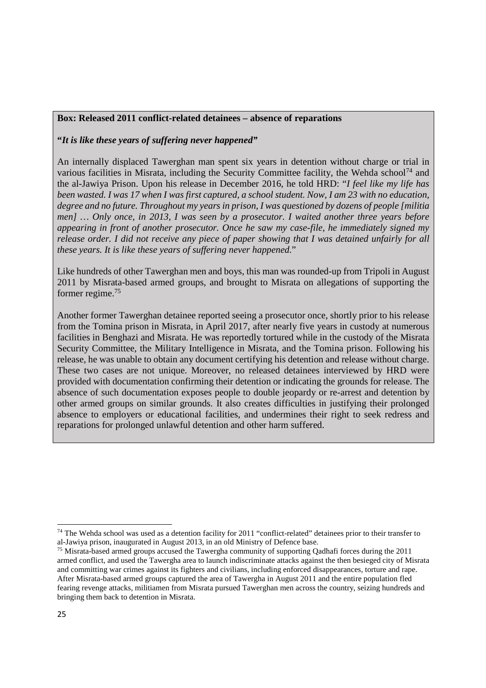#### **Box: Released 2011 conflict-related detainees – absence of reparations**

**"***It is like these years of suffering never happened"*

An internally displaced Tawerghan man spent six years in detention without charge or trial in various facilities in Misrata, including the Security Committee facility, the Wehda school<sup>74</sup> and the al-Jawiya Prison. Upon his release in December 2016, he told HRD: "*I feel like my life has been wasted. I was 17 when I was first captured, a school student. Now, I am 23 with no education, degree and no future. Throughout my years in prison, I was questioned by dozens of people [militia men] … Only once, in 2013, I was seen by a prosecutor. I waited another three years before appearing in front of another prosecutor. Once he saw my case-file, he immediately signed my release order. I did not receive any piece of paper showing that I was detained unfairly for all these years. It is like these years of suffering never happened.*"

Like hundreds of other Tawerghan men and boys, this man was rounded-up from Tripoli in August 2011 by Misrata-based armed groups, and brought to Misrata on allegations of supporting the former regime.<sup>75</sup>

Another former Tawerghan detainee reported seeing a prosecutor once, shortly prior to his release from the Tomina prison in Misrata, in April 2017, after nearly five years in custody at numerous facilities in Benghazi and Misrata. He was reportedly tortured while in the custody of the Misrata Security Committee, the Military Intelligence in Misrata, and the Tomina prison. Following his release, he was unable to obtain any document certifying his detention and release without charge. These two cases are not unique. Moreover, no released detainees interviewed by HRD were provided with documentation confirming their detention or indicating the grounds for release. The absence of such documentation exposes people to double jeopardy or re-arrest and detention by other armed groups on similar grounds. It also creates difficulties in justifying their prolonged absence to employers or educational facilities, and undermines their right to seek redress and reparations for prolonged unlawful detention and other harm suffered.

 $74$  The Wehda school was used as a detention facility for 2011 "conflict-related" detainees prior to their transfer to al-Jawiya prison, inaugurated in August 2013, in an old Ministry of Defence base.

<sup>&</sup>lt;sup>75</sup> Misrata-based armed groups accused the Tawergha community of supporting Qadhafi forces during the 2011 armed conflict, and used the Tawergha area to launch indiscriminate attacks against the then besieged city of Misrata and committing war crimes against its fighters and civilians, including enforced disappearances, torture and rape. After Misrata-based armed groups captured the area of Tawergha in August 2011 and the entire population fled fearing revenge attacks, militiamen from Misrata pursued Tawerghan men across the country, seizing hundreds and bringing them back to detention in Misrata.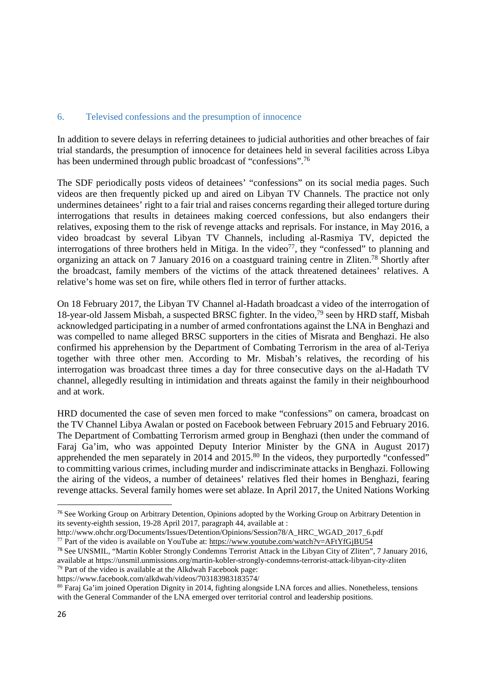#### 6. Televised confessions and the presumption of innocence

In addition to severe delays in referring detainees to judicial authorities and other breaches of fair trial standards, the presumption of innocence for detainees held in several facilities across Libya has been undermined through public broadcast of "confessions".<sup>76</sup>

The SDF periodically posts videos of detainees' "confessions" on its social media pages. Such videos are then frequently picked up and aired on Libyan TV Channels. The practice not only undermines detainees' right to a fair trial and raises concerns regarding their alleged torture during interrogations that results in detainees making coerced confessions, but also endangers their relatives, exposing them to the risk of revenge attacks and reprisals. For instance, in May 2016, a video broadcast by several Libyan TV Channels, including al-Rasmiya TV, depicted the interrogations of three brothers held in Mitiga. In the video<sup>77</sup>, they "confessed" to planning and organizing an attack on 7 January 2016 on a coastguard training centre in Zliten.<sup>78</sup> Shortly after the broadcast, family members of the victims of the attack threatened detainees' relatives. A relative's home was set on fire, while others fled in terror of further attacks.

On 18 February 2017, the Libyan TV Channel al-Hadath broadcast a video of the interrogation of 18-year-old Jassem Misbah, a suspected BRSC fighter. In the video,<sup>79</sup> seen by HRD staff, Misbah acknowledged participating in a number of armed confrontations against the LNA in Benghazi and was compelled to name alleged BRSC supporters in the cities of Misrata and Benghazi. He also confirmed his apprehension by the Department of Combating Terrorism in the area of al-Teriya together with three other men. According to Mr. Misbah's relatives, the recording of his interrogation was broadcast three times a day for three consecutive days on the al-Hadath TV channel, allegedly resulting in intimidation and threats against the family in their neighbourhood and at work.

HRD documented the case of seven men forced to make "confessions" on camera, broadcast on the TV Channel Libya Awalan or posted on Facebook between February 2015 and February 2016. The Department of Combatting Terrorism armed group in Benghazi (then under the command of Faraj Ga'im, who was appointed Deputy Interior Minister by the GNA in August 2017) apprehended the men separately in 2014 and 2015.<sup>80</sup> In the videos, they purportedly "confessed" to committing various crimes, including murder and indiscriminate attacks in Benghazi. Following the airing of the videos, a number of detainees' relatives fled their homes in Benghazi, fearing revenge attacks. Several family homes were set ablaze. In April 2017, the United Nations Working

<sup>&</sup>lt;sup>76</sup> See Working Group on Arbitrary Detention, Opinions adopted by the Working Group on Arbitrary Detention in its seventy-eighth session, 19-28 April 2017, paragraph 44, available at :

http://www.ohchr.org/Documents/Issues/Detention/Opinions/Session78/A\_HRC\_WGAD\_2017\_6.pdf <sup>77</sup> Part of the video is available on YouTube at: https://www.youtube.com/watch?v=AFtYfGjBU54

<sup>78</sup> See UNSMIL, "Martin Kobler Strongly Condemns Terrorist Attack in the Libyan City of Zliten", 7 January 2016, available at https://unsmil.unmissions.org/martin-kobler-strongly-condemns-terrorist-attack-libyan-city-zliten <sup>79</sup> Part of the video is available at the Alkdwah Facebook page:

https://www.facebook.com/alkdwah/videos/703183983183574/

<sup>&</sup>lt;sup>80</sup> Faraj Ga'im joined Operation Dignity in 2014, fighting alongside LNA forces and allies. Nonetheless, tensions with the General Commander of the LNA emerged over territorial control and leadership positions.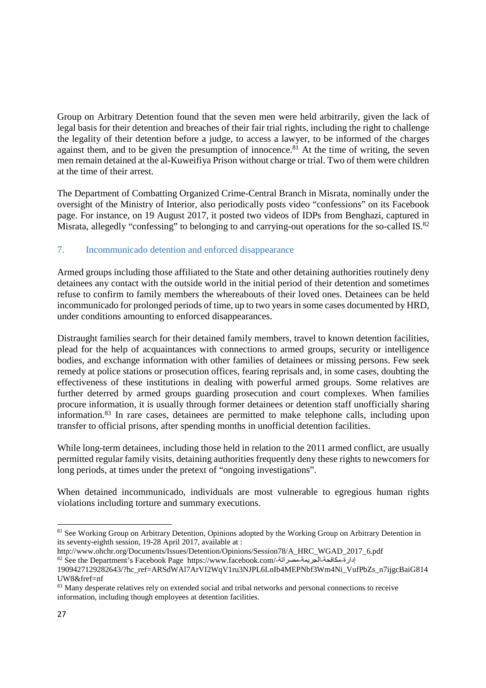Group on Arbitrary Detention found that the seven men were held arbitrarily, given the lack of legal basis for their detention and breaches of their fair trial rights, including the right to challenge the legality of their detention before a judge, to access a lawyer, to be informed of the charges against them, and to be given the presumption of innocence.<sup>81</sup> At the time of writing, the seven men remain detained at the al-Kuweifiya Prison without charge or trial. Two of them were children at the time of their arrest.

The Department of Combatting Organized Crime-Central Branch in Misrata, nominally under the oversight of the Ministry of Interior, also periodically posts video "confessions" on its Facebook page. For instance, on 19 August 2017, it posted two videos of IDPs from Benghazi, captured in Misrata, allegedly "confessing" to belonging to and carrying-out operations for the so-called IS.<sup>82</sup>

## 7. Incommunicado detention and enforced disappearance

Armed groups including those affiliated to the State and other detaining authorities routinely deny detainees any contact with the outside world in the initial period of their detention and sometimes refuse to confirm to family members the whereabouts of their loved ones. Detainees can be held incommunicado for prolonged periods of time, up to two years in some cases documented by HRD, under conditions amounting to enforced disappearances.

Distraught families search for their detained family members, travel to known detention facilities, plead for the help of acquaintances with connections to armed groups, security or intelligence bodies, and exchange information with other families of detainees or missing persons. Few seek remedy at police stations or prosecution offices, fearing reprisals and, in some cases, doubting the effectiveness of these institutions in dealing with powerful armed groups. Some relatives are further deterred by armed groups guarding prosecution and court complexes. When families procure information, it is usually through former detainees or detention staff unofficially sharing information.<sup>83</sup> In rare cases, detainees are permitted to make telephone calls, including upon transfer to official prisons, after spending months in unofficial detention facilities.

While long-term detainees, including those held in relation to the 2011 armed conflict, are usually permitted regular family visits, detaining authorities frequently deny these rights to newcomers for long periods, at times under the pretext of "ongoing investigations".

When detained incommunicado, individuals are most vulnerable to egregious human rights violations including torture and summary executions.

http://www.ohchr.org/Documents/Issues/Detention/Opinions/Session78/A\_HRC\_WGAD\_2017\_6.pdf <sup>82</sup> See the Department's Facebook Page https://www.facebook.com/-مصراتة-الجريمة-مكافحة-إدارة

<sup>&</sup>lt;sup>81</sup> See Working Group on Arbitrary Detention, Opinions adopted by the Working Group on Arbitrary Detention in its seventy-eighth session, 19-28 April 2017, available at :

<sup>1909427129282643/?</sup>hc\_ref=ARSdWAl7ArVI2WqV1ru3NJPL6LnIb4MEPNbf3Wm4Ni\_VufPbZs\_n7ijgcBaiG814 UW8&fref=nf

<sup>83</sup> Many desperate relatives rely on extended social and tribal networks and personal connections to receive information, including though employees at detention facilities.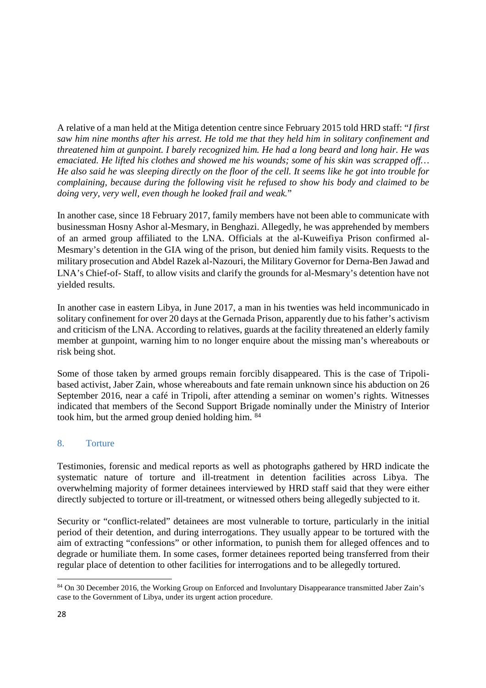A relative of a man held at the Mitiga detention centre since February 2015 told HRD staff: "*I first saw him nine months after his arrest. He told me that they held him in solitary confinement and threatened him at gunpoint. I barely recognized him. He had a long beard and long hair. He was emaciated. He lifted his clothes and showed me his wounds; some of his skin was scrapped off… He also said he was sleeping directly on the floor of the cell. It seems like he got into trouble for complaining, because during the following visit he refused to show his body and claimed to be doing very, very well, even though he looked frail and weak.*"

In another case, since 18 February 2017, family members have not been able to communicate with businessman Hosny Ashor al-Mesmary, in Benghazi. Allegedly, he was apprehended by members of an armed group affiliated to the LNA. Officials at the al-Kuweifiya Prison confirmed al-Mesmary's detention in the GIA wing of the prison, but denied him family visits. Requests to the military prosecution and Abdel Razek al-Nazouri, the Military Governor for Derna-Ben Jawad and LNA's Chief-of- Staff, to allow visits and clarify the grounds for al-Mesmary's detention have not yielded results.

In another case in eastern Libya, in June 2017, a man in his twenties was held incommunicado in solitary confinement for over 20 days at the Gernada Prison, apparently due to his father's activism and criticism of the LNA. According to relatives, guards at the facility threatened an elderly family member at gunpoint, warning him to no longer enquire about the missing man's whereabouts or risk being shot.

Some of those taken by armed groups remain forcibly disappeared. This is the case of Tripolibased activist, Jaber Zain, whose whereabouts and fate remain unknown since his abduction on 26 September 2016, near a café in Tripoli, after attending a seminar on women's rights. Witnesses indicated that members of the Second Support Brigade nominally under the Ministry of Interior took him, but the armed group denied holding him. 84

## 8. Torture

Testimonies, forensic and medical reports as well as photographs gathered by HRD indicate the systematic nature of torture and ill-treatment in detention facilities across Libya. The overwhelming majority of former detainees interviewed by HRD staff said that they were either directly subjected to torture or ill-treatment, or witnessed others being allegedly subjected to it.

Security or "conflict-related" detainees are most vulnerable to torture, particularly in the initial period of their detention, and during interrogations. They usually appear to be tortured with the aim of extracting "confessions" or other information, to punish them for alleged offences and to degrade or humiliate them. In some cases, former detainees reported being transferred from their regular place of detention to other facilities for interrogations and to be allegedly tortured.

<sup>&</sup>lt;sup>84</sup> On 30 December 2016, the Working Group on Enforced and Involuntary Disappearance transmitted Jaber Zain's case to the Government of Libya, under its urgent action procedure.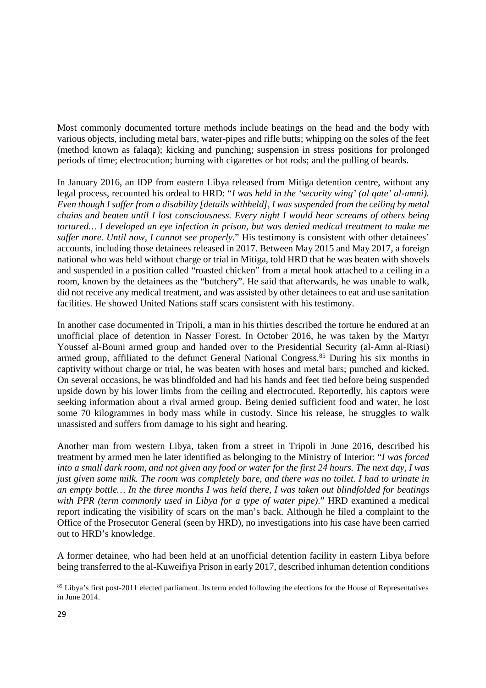Most commonly documented torture methods include beatings on the head and the body with various objects, including metal bars, water-pipes and rifle butts; whipping on the soles of the feet (method known as falaqa); kicking and punching; suspension in stress positions for prolonged periods of time; electrocution; burning with cigarettes or hot rods; and the pulling of beards.

In January 2016, an IDP from eastern Libya released from Mitiga detention centre, without any legal process, recounted his ordeal to HRD: "*I was held in the 'security wing' (al qate' al-amni). Even though I suffer from a disability [details withheld], I was suspended from the ceiling by metal chains and beaten until I lost consciousness. Every night I would hear screams of others being tortured… I developed an eye infection in prison, but was denied medical treatment to make me suffer more. Until now, I cannot see properly*." His testimony is consistent with other detainees' accounts, including those detainees released in 2017. Between May 2015 and May 2017, a foreign national who was held without charge or trial in Mitiga, told HRD that he was beaten with shovels and suspended in a position called "roasted chicken" from a metal hook attached to a ceiling in a room, known by the detainees as the "butchery". He said that afterwards, he was unable to walk, did not receive any medical treatment, and was assisted by other detainees to eat and use sanitation facilities. He showed United Nations staff scars consistent with his testimony.

In another case documented in Tripoli, a man in his thirties described the torture he endured at an unofficial place of detention in Nasser Forest. In October 2016, he was taken by the Martyr Youssef al-Bouni armed group and handed over to the Presidential Security (al-Amn al-Riasi) armed group, affiliated to the defunct General National Congress.<sup>85</sup> During his six months in captivity without charge or trial, he was beaten with hoses and metal bars; punched and kicked. On several occasions, he was blindfolded and had his hands and feet tied before being suspended upside down by his lower limbs from the ceiling and electrocuted. Reportedly, his captors were seeking information about a rival armed group. Being denied sufficient food and water, he lost some 70 kilogrammes in body mass while in custody. Since his release, he struggles to walk unassisted and suffers from damage to his sight and hearing.

Another man from western Libya, taken from a street in Tripoli in June 2016, described his treatment by armed men he later identified as belonging to the Ministry of Interior: "*I was forced into a small dark room, and not given any food or water for the first 24 hours. The next day, I was just given some milk. The room was completely bare, and there was no toilet. I had to urinate in an empty bottle… In the three months I was held there, I was taken out blindfolded for beatings with PPR (term commonly used in Libya for a type of water pipe)*." HRD examined a medical report indicating the visibility of scars on the man's back. Although he filed a complaint to the Office of the Prosecutor General (seen by HRD), no investigations into his case have been carried out to HRD's knowledge.

A former detainee, who had been held at an unofficial detention facility in eastern Libya before being transferred to the al-Kuweifiya Prison in early 2017, described inhuman detention conditions

<sup>&</sup>lt;sup>85</sup> Libya's first post-2011 elected parliament. Its term ended following the elections for the House of Representatives in June 2014.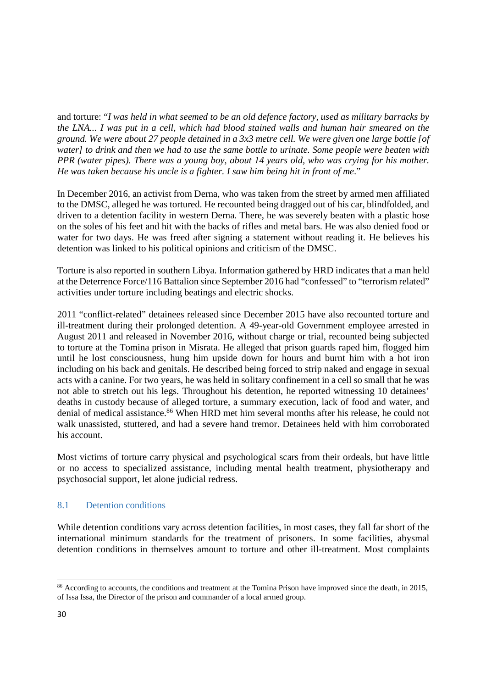and torture: "*I was held in what seemed to be an old defence factory, used as military barracks by the LNA... I was put in a cell, which had blood stained walls and human hair smeared on the ground. We were about 27 people detained in a 3x3 metre cell. We were given one large bottle [of water] to drink and then we had to use the same bottle to urinate. Some people were beaten with PPR (water pipes). There was a young boy, about 14 years old, who was crying for his mother. He was taken because his uncle is a fighter. I saw him being hit in front of me*."

In December 2016, an activist from Derna, who was taken from the street by armed men affiliated to the DMSC, alleged he was tortured. He recounted being dragged out of his car, blindfolded, and driven to a detention facility in western Derna. There, he was severely beaten with a plastic hose on the soles of his feet and hit with the backs of rifles and metal bars. He was also denied food or water for two days. He was freed after signing a statement without reading it. He believes his detention was linked to his political opinions and criticism of the DMSC.

Torture is also reported in southern Libya. Information gathered by HRD indicates that a man held at the Deterrence Force/116 Battalion since September 2016 had "confessed" to "terrorism related" activities under torture including beatings and electric shocks.

2011 "conflict-related" detainees released since December 2015 have also recounted torture and ill-treatment during their prolonged detention. A 49-year-old Government employee arrested in August 2011 and released in November 2016, without charge or trial, recounted being subjected to torture at the Tomina prison in Misrata. He alleged that prison guards raped him, flogged him until he lost consciousness, hung him upside down for hours and burnt him with a hot iron including on his back and genitals. He described being forced to strip naked and engage in sexual acts with a canine. For two years, he was held in solitary confinement in a cell so small that he was not able to stretch out his legs. Throughout his detention, he reported witnessing 10 detainees' deaths in custody because of alleged torture, a summary execution, lack of food and water, and denial of medical assistance.<sup>86</sup> When HRD met him several months after his release, he could not walk unassisted, stuttered, and had a severe hand tremor. Detainees held with him corroborated his account.

Most victims of torture carry physical and psychological scars from their ordeals, but have little or no access to specialized assistance, including mental health treatment, physiotherapy and psychosocial support, let alone judicial redress.

## 8.1 Detention conditions

While detention conditions vary across detention facilities, in most cases, they fall far short of the international minimum standards for the treatment of prisoners. In some facilities, abysmal detention conditions in themselves amount to torture and other ill-treatment. Most complaints

<sup>&</sup>lt;sup>86</sup> According to accounts, the conditions and treatment at the Tomina Prison have improved since the death, in 2015, of Issa Issa, the Director of the prison and commander of a local armed group.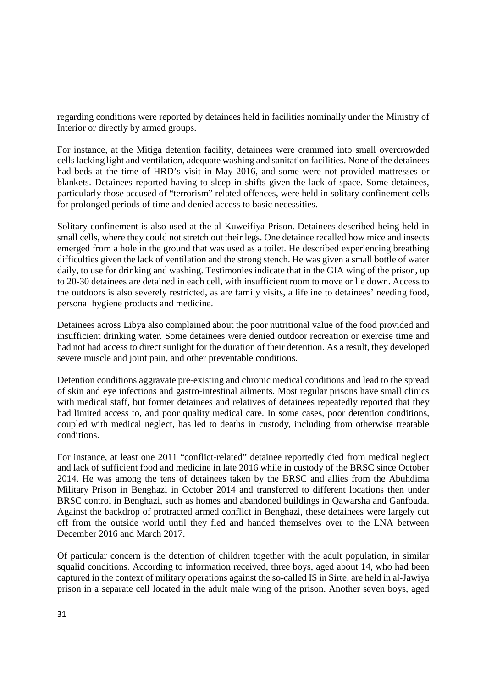regarding conditions were reported by detainees held in facilities nominally under the Ministry of Interior or directly by armed groups.

For instance, at the Mitiga detention facility, detainees were crammed into small overcrowded cells lacking light and ventilation, adequate washing and sanitation facilities. None of the detainees had beds at the time of HRD's visit in May 2016, and some were not provided mattresses or blankets. Detainees reported having to sleep in shifts given the lack of space. Some detainees, particularly those accused of "terrorism" related offences, were held in solitary confinement cells for prolonged periods of time and denied access to basic necessities.

Solitary confinement is also used at the al-Kuweifiya Prison. Detainees described being held in small cells, where they could not stretch out their legs. One detainee recalled how mice and insects emerged from a hole in the ground that was used as a toilet. He described experiencing breathing difficulties given the lack of ventilation and the strong stench. He was given a small bottle of water daily, to use for drinking and washing. Testimonies indicate that in the GIA wing of the prison, up to 20-30 detainees are detained in each cell, with insufficient room to move or lie down. Access to the outdoors is also severely restricted, as are family visits, a lifeline to detainees' needing food, personal hygiene products and medicine.

Detainees across Libya also complained about the poor nutritional value of the food provided and insufficient drinking water. Some detainees were denied outdoor recreation or exercise time and had not had access to direct sunlight for the duration of their detention. As a result, they developed severe muscle and joint pain, and other preventable conditions.

Detention conditions aggravate pre-existing and chronic medical conditions and lead to the spread of skin and eye infections and gastro-intestinal ailments. Most regular prisons have small clinics with medical staff, but former detainees and relatives of detainees repeatedly reported that they had limited access to, and poor quality medical care. In some cases, poor detention conditions, coupled with medical neglect, has led to deaths in custody, including from otherwise treatable conditions.

For instance, at least one 2011 "conflict-related" detainee reportedly died from medical neglect and lack of sufficient food and medicine in late 2016 while in custody of the BRSC since October 2014. He was among the tens of detainees taken by the BRSC and allies from the Abuhdima Military Prison in Benghazi in October 2014 and transferred to different locations then under BRSC control in Benghazi, such as homes and abandoned buildings in Qawarsha and Ganfouda. Against the backdrop of protracted armed conflict in Benghazi, these detainees were largely cut off from the outside world until they fled and handed themselves over to the LNA between December 2016 and March 2017.

Of particular concern is the detention of children together with the adult population, in similar squalid conditions. According to information received, three boys, aged about 14, who had been captured in the context of military operations against the so-called IS in Sirte, are held in al-Jawiya prison in a separate cell located in the adult male wing of the prison. Another seven boys, aged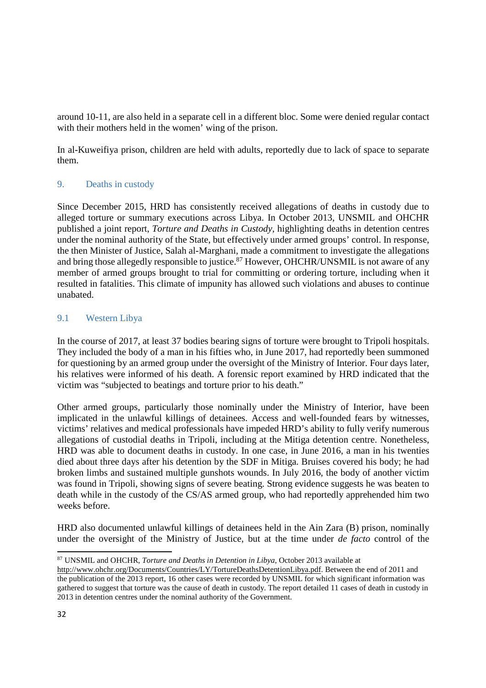around 10-11, are also held in a separate cell in a different bloc. Some were denied regular contact with their mothers held in the women' wing of the prison.

In al-Kuweifiya prison, children are held with adults, reportedly due to lack of space to separate them.

## 9. Deaths in custody

Since December 2015, HRD has consistently received allegations of deaths in custody due to alleged torture or summary executions across Libya. In October 2013, UNSMIL and OHCHR published a joint report, *Torture and Deaths in Custody*, highlighting deaths in detention centres under the nominal authority of the State, but effectively under armed groups' control. In response, the then Minister of Justice, Salah al-Marghani, made a commitment to investigate the allegations and bring those allegedly responsible to justice.<sup>87</sup> However, OHCHR/UNSMIL is not aware of any member of armed groups brought to trial for committing or ordering torture, including when it resulted in fatalities. This climate of impunity has allowed such violations and abuses to continue unabated.

## 9.1 Western Libya

In the course of 2017, at least 37 bodies bearing signs of torture were brought to Tripoli hospitals. They included the body of a man in his fifties who, in June 2017, had reportedly been summoned for questioning by an armed group under the oversight of the Ministry of Interior. Four days later, his relatives were informed of his death. A forensic report examined by HRD indicated that the victim was "subjected to beatings and torture prior to his death."

Other armed groups, particularly those nominally under the Ministry of Interior, have been implicated in the unlawful killings of detainees. Access and well-founded fears by witnesses, victims' relatives and medical professionals have impeded HRD's ability to fully verify numerous allegations of custodial deaths in Tripoli, including at the Mitiga detention centre. Nonetheless, HRD was able to document deaths in custody. In one case, in June 2016, a man in his twenties died about three days after his detention by the SDF in Mitiga. Bruises covered his body; he had broken limbs and sustained multiple gunshots wounds. In July 2016, the body of another victim was found in Tripoli, showing signs of severe beating. Strong evidence suggests he was beaten to death while in the custody of the CS/AS armed group, who had reportedly apprehended him two weeks before.

HRD also documented unlawful killings of detainees held in the Ain Zara (B) prison, nominally under the oversight of the Ministry of Justice, but at the time under *de facto* control of the

<sup>87</sup> UNSMIL and OHCHR, *Torture and Deaths in Detention in Libya*, October 2013 available at

http://www.ohchr.org/Documents/Countries/LY/TortureDeathsDetentionLibya.pdf. Between the end of 2011 and the publication of the 2013 report, 16 other cases were recorded by UNSMIL for which significant information was gathered to suggest that torture was the cause of death in custody. The report detailed 11 cases of death in custody in 2013 in detention centres under the nominal authority of the Government.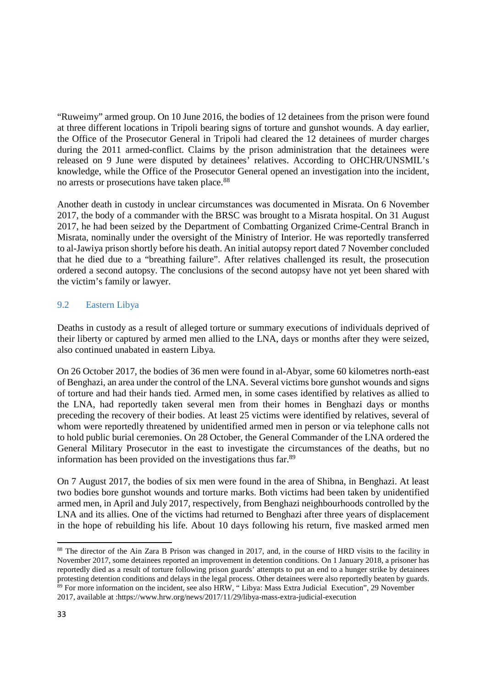"Ruweimy" armed group. On 10 June 2016, the bodies of 12 detainees from the prison were found at three different locations in Tripoli bearing signs of torture and gunshot wounds. A day earlier, the Office of the Prosecutor General in Tripoli had cleared the 12 detainees of murder charges during the 2011 armed-conflict. Claims by the prison administration that the detainees were released on 9 June were disputed by detainees' relatives. According to OHCHR/UNSMIL's knowledge, while the Office of the Prosecutor General opened an investigation into the incident, no arrests or prosecutions have taken place.<sup>88</sup>

Another death in custody in unclear circumstances was documented in Misrata. On 6 November 2017, the body of a commander with the BRSC was brought to a Misrata hospital. On 31 August 2017, he had been seized by the Department of Combatting Organized Crime-Central Branch in Misrata, nominally under the oversight of the Ministry of Interior. He was reportedly transferred to al-Jawiya prison shortly before his death. An initial autopsy report dated 7 November concluded that he died due to a "breathing failure". After relatives challenged its result, the prosecution ordered a second autopsy. The conclusions of the second autopsy have not yet been shared with the victim's family or lawyer.

## 9.2 Eastern Libya

Deaths in custody as a result of alleged torture or summary executions of individuals deprived of their liberty or captured by armed men allied to the LNA, days or months after they were seized, also continued unabated in eastern Libya.

On 26 October 2017, the bodies of 36 men were found in al-Abyar, some 60 kilometres north-east of Benghazi, an area under the control of the LNA. Several victims bore gunshot wounds and signs of torture and had their hands tied. Armed men, in some cases identified by relatives as allied to the LNA, had reportedly taken several men from their homes in Benghazi days or months preceding the recovery of their bodies. At least 25 victims were identified by relatives, several of whom were reportedly threatened by unidentified armed men in person or via telephone calls not to hold public burial ceremonies. On 28 October, the General Commander of the LNA ordered the General Military Prosecutor in the east to investigate the circumstances of the deaths, but no information has been provided on the investigations thus far.<sup>89</sup>

On 7 August 2017, the bodies of six men were found in the area of Shibna, in Benghazi. At least two bodies bore gunshot wounds and torture marks. Both victims had been taken by unidentified armed men, in April and July 2017, respectively, from Benghazi neighbourhoods controlled by the LNA and its allies. One of the victims had returned to Benghazi after three years of displacement in the hope of rebuilding his life. About 10 days following his return, five masked armed men

<sup>&</sup>lt;sup>88</sup> The director of the Ain Zara B Prison was changed in 2017, and, in the course of HRD visits to the facility in November 2017, some detainees reported an improvement in detention conditions. On 1 January 2018, a prisoner has reportedly died as a result of torture following prison guards' attempts to put an end to a hunger strike by detainees protesting detention conditions and delays in the legal process. Other detainees were also reportedly beaten by guards. <sup>89</sup> For more information on the incident, see also HRW, " Libya: Mass Extra Judicial Execution", 29 November 2017, available at :https://www.hrw.org/news/2017/11/29/libya-mass-extra-judicial-execution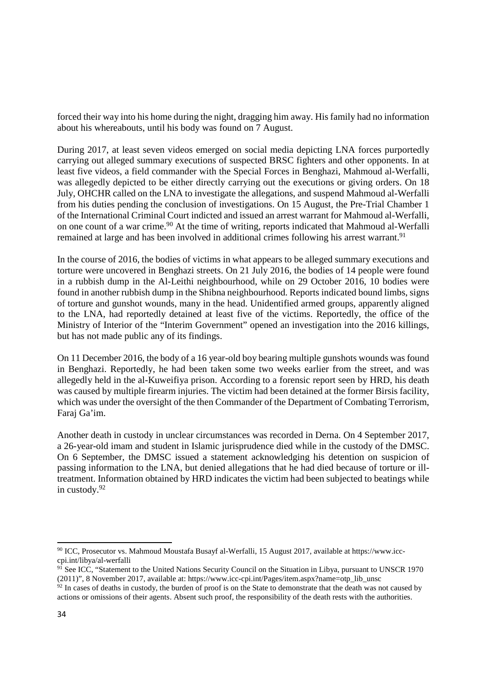forced their way into his home during the night, dragging him away. His family had no information about his whereabouts, until his body was found on 7 August.

During 2017, at least seven videos emerged on social media depicting LNA forces purportedly carrying out alleged summary executions of suspected BRSC fighters and other opponents. In at least five videos, a field commander with the Special Forces in Benghazi, Mahmoud al-Werfalli, was allegedly depicted to be either directly carrying out the executions or giving orders. On 18 July, OHCHR called on the LNA to investigate the allegations, and suspend Mahmoud al-Werfalli from his duties pending the conclusion of investigations. On 15 August, the Pre-Trial Chamber 1 of the International Criminal Court indicted and issued an arrest warrant for Mahmoud al-Werfalli, on one count of a war crime.<sup>90</sup> At the time of writing, reports indicated that Mahmoud al-Werfalli remained at large and has been involved in additional crimes following his arrest warrant.<sup>91</sup>

In the course of 2016, the bodies of victims in what appears to be alleged summary executions and torture were uncovered in Benghazi streets. On 21 July 2016, the bodies of 14 people were found in a rubbish dump in the Al-Leithi neighbourhood, while on 29 October 2016, 10 bodies were found in another rubbish dump in the Shibna neighbourhood. Reports indicated bound limbs, signs of torture and gunshot wounds, many in the head. Unidentified armed groups, apparently aligned to the LNA, had reportedly detained at least five of the victims. Reportedly, the office of the Ministry of Interior of the "Interim Government" opened an investigation into the 2016 killings, but has not made public any of its findings.

On 11 December 2016, the body of a 16 year-old boy bearing multiple gunshots wounds was found in Benghazi. Reportedly, he had been taken some two weeks earlier from the street, and was allegedly held in the al-Kuweifiya prison. According to a forensic report seen by HRD, his death was caused by multiple firearm injuries. The victim had been detained at the former Birsis facility, which was under the oversight of the then Commander of the Department of Combating Terrorism, Faraj Ga'im.

Another death in custody in unclear circumstances was recorded in Derna. On 4 September 2017, a 26-year-old imam and student in Islamic jurisprudence died while in the custody of the DMSC. On 6 September, the DMSC issued a statement acknowledging his detention on suspicion of passing information to the LNA, but denied allegations that he had died because of torture or illtreatment. Information obtained by HRD indicates the victim had been subjected to beatings while in custody.<sup>92</sup>

<sup>90</sup> ICC, Prosecutor vs. Mahmoud Moustafa Busayf al-Werfalli, 15 August 2017, available at https://www.icccpi.int/libya/al-werfalli

<sup>&</sup>lt;sup>91</sup> See ICC, "Statement to the United Nations Security Council on the Situation in Libya, pursuant to UNSCR 1970 (2011)", 8 November 2017, available at: https://www.icc-cpi.int/Pages/item.aspx?name=otp\_lib\_unsc

 $92$  In cases of deaths in custody, the burden of proof is on the State to demonstrate that the death was not caused by actions or omissions of their agents. Absent such proof, the responsibility of the death rests with the authorities.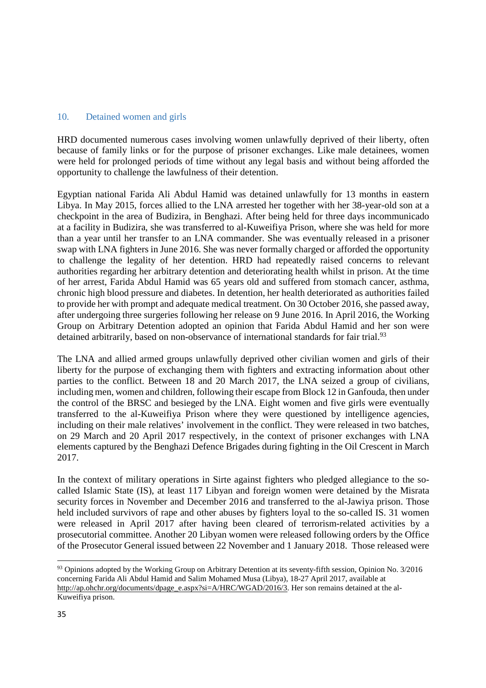#### 10. Detained women and girls

HRD documented numerous cases involving women unlawfully deprived of their liberty, often because of family links or for the purpose of prisoner exchanges. Like male detainees, women were held for prolonged periods of time without any legal basis and without being afforded the opportunity to challenge the lawfulness of their detention.

Egyptian national Farida Ali Abdul Hamid was detained unlawfully for 13 months in eastern Libya. In May 2015, forces allied to the LNA arrested her together with her 38-year-old son at a checkpoint in the area of Budizira, in Benghazi. After being held for three days incommunicado at a facility in Budizira, she was transferred to al-Kuweifiya Prison, where she was held for more than a year until her transfer to an LNA commander. She was eventually released in a prisoner swap with LNA fighters in June 2016. She was never formally charged or afforded the opportunity to challenge the legality of her detention. HRD had repeatedly raised concerns to relevant authorities regarding her arbitrary detention and deteriorating health whilst in prison. At the time of her arrest, Farida Abdul Hamid was 65 years old and suffered from stomach cancer, asthma, chronic high blood pressure and diabetes. In detention, her health deteriorated as authorities failed to provide her with prompt and adequate medical treatment. On 30 October 2016, she passed away, after undergoing three surgeries following her release on 9 June 2016. In April 2016, the Working Group on Arbitrary Detention adopted an opinion that Farida Abdul Hamid and her son were detained arbitrarily, based on non-observance of international standards for fair trial.<sup>93</sup>

The LNA and allied armed groups unlawfully deprived other civilian women and girls of their liberty for the purpose of exchanging them with fighters and extracting information about other parties to the conflict. Between 18 and 20 March 2017, the LNA seized a group of civilians, including men, women and children, following their escape from Block 12 in Ganfouda, then under the control of the BRSC and besieged by the LNA. Eight women and five girls were eventually transferred to the al-Kuweifiya Prison where they were questioned by intelligence agencies, including on their male relatives' involvement in the conflict. They were released in two batches, on 29 March and 20 April 2017 respectively, in the context of prisoner exchanges with LNA elements captured by the Benghazi Defence Brigades during fighting in the Oil Crescent in March 2017.

In the context of military operations in Sirte against fighters who pledged allegiance to the socalled Islamic State (IS), at least 117 Libyan and foreign women were detained by the Misrata security forces in November and December 2016 and transferred to the al-Jawiya prison. Those held included survivors of rape and other abuses by fighters loyal to the so-called IS. 31 women were released in April 2017 after having been cleared of terrorism-related activities by a prosecutorial committee. Another 20 Libyan women were released following orders by the Office of the Prosecutor General issued between 22 November and 1 January 2018. Those released were

<sup>&</sup>lt;sup>93</sup> Opinions adopted by the Working Group on Arbitrary Detention at its seventy-fifth session, Opinion No. 3/2016 concerning Farida Ali Abdul Hamid and Salim Mohamed Musa (Libya), 18-27 April 2017, available at http://ap.ohchr.org/documents/dpage\_e.aspx?si=A/HRC/WGAD/2016/3. Her son remains detained at the al-Kuweifiya prison.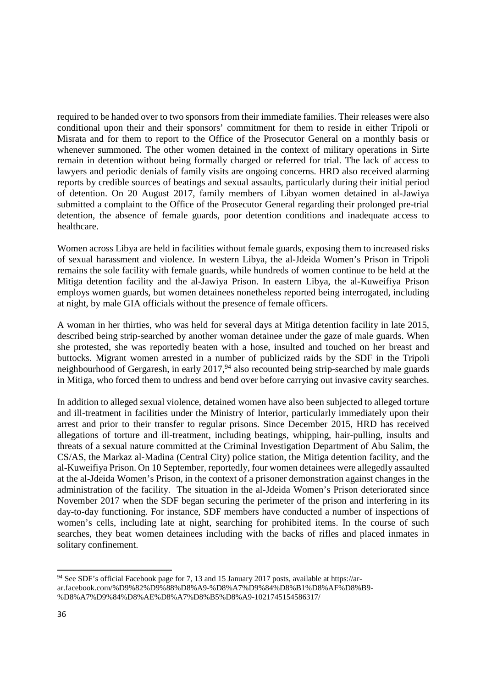required to be handed over to two sponsors from their immediate families. Their releases were also conditional upon their and their sponsors' commitment for them to reside in either Tripoli or Misrata and for them to report to the Office of the Prosecutor General on a monthly basis or whenever summoned. The other women detained in the context of military operations in Sirte remain in detention without being formally charged or referred for trial. The lack of access to lawyers and periodic denials of family visits are ongoing concerns. HRD also received alarming reports by credible sources of beatings and sexual assaults, particularly during their initial period of detention. On 20 August 2017, family members of Libyan women detained in al-Jawiya submitted a complaint to the Office of the Prosecutor General regarding their prolonged pre-trial detention, the absence of female guards, poor detention conditions and inadequate access to healthcare.

Women across Libya are held in facilities without female guards, exposing them to increased risks of sexual harassment and violence. In western Libya, the al-Jdeida Women's Prison in Tripoli remains the sole facility with female guards, while hundreds of women continue to be held at the Mitiga detention facility and the al-Jawiya Prison. In eastern Libya, the al-Kuweifiya Prison employs women guards, but women detainees nonetheless reported being interrogated, including at night, by male GIA officials without the presence of female officers.

A woman in her thirties, who was held for several days at Mitiga detention facility in late 2015, described being strip-searched by another woman detainee under the gaze of male guards. When she protested, she was reportedly beaten with a hose, insulted and touched on her breast and buttocks. Migrant women arrested in a number of publicized raids by the SDF in the Tripoli neighbourhood of Gergaresh, in early 2017,<sup>94</sup> also recounted being strip-searched by male guards in Mitiga, who forced them to undress and bend over before carrying out invasive cavity searches.

In addition to alleged sexual violence, detained women have also been subjected to alleged torture and ill-treatment in facilities under the Ministry of Interior, particularly immediately upon their arrest and prior to their transfer to regular prisons. Since December 2015, HRD has received allegations of torture and ill-treatment, including beatings, whipping, hair-pulling, insults and threats of a sexual nature committed at the Criminal Investigation Department of Abu Salim, the CS/AS, the Markaz al-Madina (Central City) police station, the Mitiga detention facility, and the al-Kuweifiya Prison. On 10 September, reportedly, four women detainees were allegedly assaulted at the al-Jdeida Women's Prison, in the context of a prisoner demonstration against changes in the administration of the facility. The situation in the al-Jdeida Women's Prison deteriorated since November 2017 when the SDF began securing the perimeter of the prison and interfering in its day-to-day functioning. For instance, SDF members have conducted a number of inspections of women's cells, including late at night, searching for prohibited items. In the course of such searches, they beat women detainees including with the backs of rifles and placed inmates in solitary confinement.

<sup>&</sup>lt;sup>94</sup> See SDF's official Facebook page for 7, 13 and 15 January 2017 posts, available at https://arar.facebook.com/%D9%82%D9%88%D8%A9-%D8%A7%D9%84%D8%B1%D8%AF%D8%B9- %D8%A7%D9%84%D8%AE%D8%A7%D8%B5%D8%A9-1021745154586317/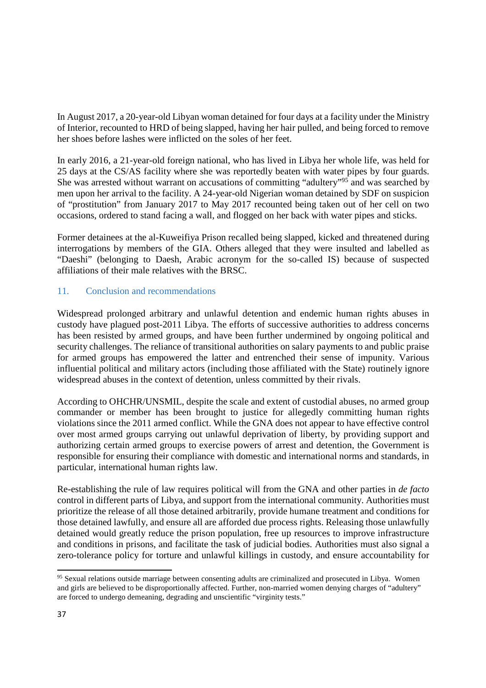In August 2017, a 20-year-old Libyan woman detained for four days at a facility under the Ministry of Interior, recounted to HRD of being slapped, having her hair pulled, and being forced to remove her shoes before lashes were inflicted on the soles of her feet.

In early 2016, a 21-year-old foreign national, who has lived in Libya her whole life, was held for 25 days at the CS/AS facility where she was reportedly beaten with water pipes by four guards. She was arrested without warrant on accusations of committing "adultery"<sup>95</sup> and was searched by men upon her arrival to the facility. A 24-year-old Nigerian woman detained by SDF on suspicion of "prostitution" from January 2017 to May 2017 recounted being taken out of her cell on two occasions, ordered to stand facing a wall, and flogged on her back with water pipes and sticks.

Former detainees at the al-Kuweifiya Prison recalled being slapped, kicked and threatened during interrogations by members of the GIA. Others alleged that they were insulted and labelled as "Daeshi" (belonging to Daesh, Arabic acronym for the so-called IS) because of suspected affiliations of their male relatives with the BRSC.

## 11. Conclusion and recommendations

Widespread prolonged arbitrary and unlawful detention and endemic human rights abuses in custody have plagued post-2011 Libya. The efforts of successive authorities to address concerns has been resisted by armed groups, and have been further undermined by ongoing political and security challenges. The reliance of transitional authorities on salary payments to and public praise for armed groups has empowered the latter and entrenched their sense of impunity. Various influential political and military actors (including those affiliated with the State) routinely ignore widespread abuses in the context of detention, unless committed by their rivals.

According to OHCHR/UNSMIL, despite the scale and extent of custodial abuses, no armed group commander or member has been brought to justice for allegedly committing human rights violations since the 2011 armed conflict. While the GNA does not appear to have effective control over most armed groups carrying out unlawful deprivation of liberty, by providing support and authorizing certain armed groups to exercise powers of arrest and detention, the Government is responsible for ensuring their compliance with domestic and international norms and standards, in particular, international human rights law.

Re-establishing the rule of law requires political will from the GNA and other parties in *de facto* control in different parts of Libya, and support from the international community. Authorities must prioritize the release of all those detained arbitrarily, provide humane treatment and conditions for those detained lawfully, and ensure all are afforded due process rights. Releasing those unlawfully detained would greatly reduce the prison population, free up resources to improve infrastructure and conditions in prisons, and facilitate the task of judicial bodies. Authorities must also signal a zero-tolerance policy for torture and unlawful killings in custody, and ensure accountability for

<sup>&</sup>lt;sup>95</sup> Sexual relations outside marriage between consenting adults are criminalized and prosecuted in Libya. Women and girls are believed to be disproportionally affected. Further, non-married women denying charges of "adultery" are forced to undergo demeaning, degrading and unscientific "virginity tests."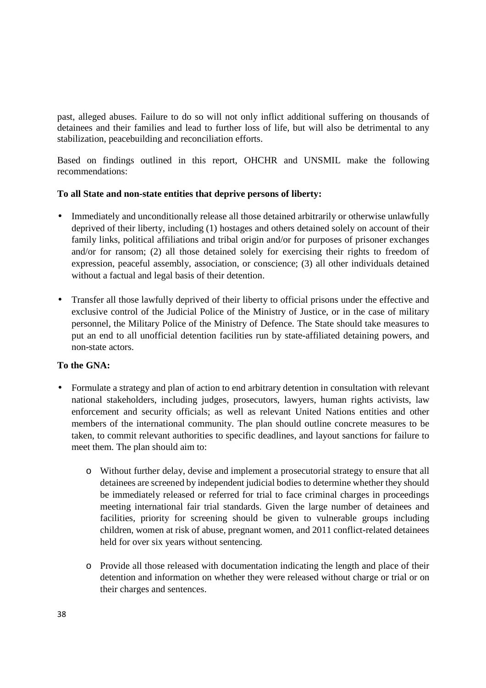past, alleged abuses. Failure to do so will not only inflict additional suffering on thousands of detainees and their families and lead to further loss of life, but will also be detrimental to any stabilization, peacebuilding and reconciliation efforts.

Based on findings outlined in this report, OHCHR and UNSMIL make the following recommendations:

## **To all State and non-state entities that deprive persons of liberty:**

- Immediately and unconditionally release all those detained arbitrarily or otherwise unlawfully deprived of their liberty, including (1) hostages and others detained solely on account of their family links, political affiliations and tribal origin and/or for purposes of prisoner exchanges and/or for ransom; (2) all those detained solely for exercising their rights to freedom of expression, peaceful assembly, association, or conscience; (3) all other individuals detained without a factual and legal basis of their detention.
- Transfer all those lawfully deprived of their liberty to official prisons under the effective and exclusive control of the Judicial Police of the Ministry of Justice, or in the case of military personnel, the Military Police of the Ministry of Defence. The State should take measures to put an end to all unofficial detention facilities run by state-affiliated detaining powers, and non-state actors.

## **To the GNA:**

- Formulate a strategy and plan of action to end arbitrary detention in consultation with relevant national stakeholders, including judges, prosecutors, lawyers, human rights activists, law enforcement and security officials; as well as relevant United Nations entities and other members of the international community. The plan should outline concrete measures to be taken, to commit relevant authorities to specific deadlines, and layout sanctions for failure to meet them. The plan should aim to:
	- o Without further delay, devise and implement a prosecutorial strategy to ensure that all detainees are screened by independent judicial bodies to determine whether they should be immediately released or referred for trial to face criminal charges in proceedings meeting international fair trial standards. Given the large number of detainees and facilities, priority for screening should be given to vulnerable groups including children, women at risk of abuse, pregnant women, and 2011 conflict-related detainees held for over six years without sentencing.
	- o Provide all those released with documentation indicating the length and place of their detention and information on whether they were released without charge or trial or on their charges and sentences.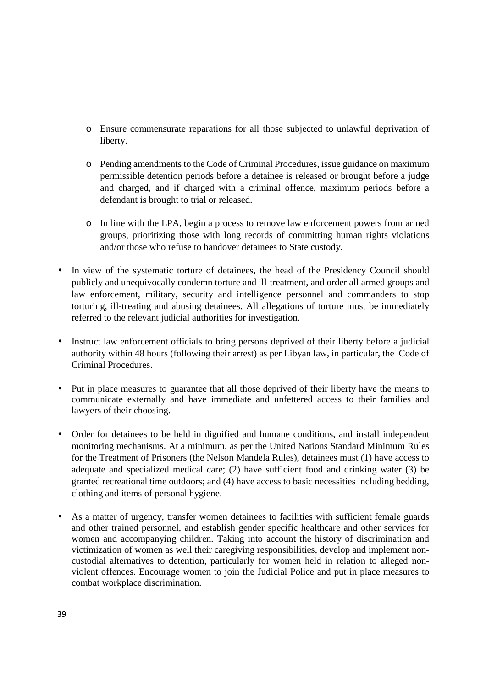- o Ensure commensurate reparations for all those subjected to unlawful deprivation of liberty.
- o Pending amendments to the Code of Criminal Procedures, issue guidance on maximum permissible detention periods before a detainee is released or brought before a judge and charged, and if charged with a criminal offence, maximum periods before a defendant is brought to trial or released.
- o In line with the LPA, begin a process to remove law enforcement powers from armed groups, prioritizing those with long records of committing human rights violations and/or those who refuse to handover detainees to State custody.
- In view of the systematic torture of detainees, the head of the Presidency Council should publicly and unequivocally condemn torture and ill-treatment, and order all armed groups and law enforcement, military, security and intelligence personnel and commanders to stop torturing, ill-treating and abusing detainees. All allegations of torture must be immediately referred to the relevant judicial authorities for investigation.
- Instruct law enforcement officials to bring persons deprived of their liberty before a judicial authority within 48 hours (following their arrest) as per Libyan law, in particular, the Code of Criminal Procedures.
- Put in place measures to guarantee that all those deprived of their liberty have the means to communicate externally and have immediate and unfettered access to their families and lawyers of their choosing.
- Order for detainees to be held in dignified and humane conditions, and install independent monitoring mechanisms. At a minimum, as per the United Nations Standard Minimum Rules for the Treatment of Prisoners (the Nelson Mandela Rules), detainees must (1) have access to adequate and specialized medical care; (2) have sufficient food and drinking water (3) be granted recreational time outdoors; and (4) have access to basic necessities including bedding, clothing and items of personal hygiene.
- As a matter of urgency, transfer women detainees to facilities with sufficient female guards and other trained personnel, and establish gender specific healthcare and other services for women and accompanying children. Taking into account the history of discrimination and victimization of women as well their caregiving responsibilities, develop and implement noncustodial alternatives to detention, particularly for women held in relation to alleged nonviolent offences. Encourage women to join the Judicial Police and put in place measures to combat workplace discrimination.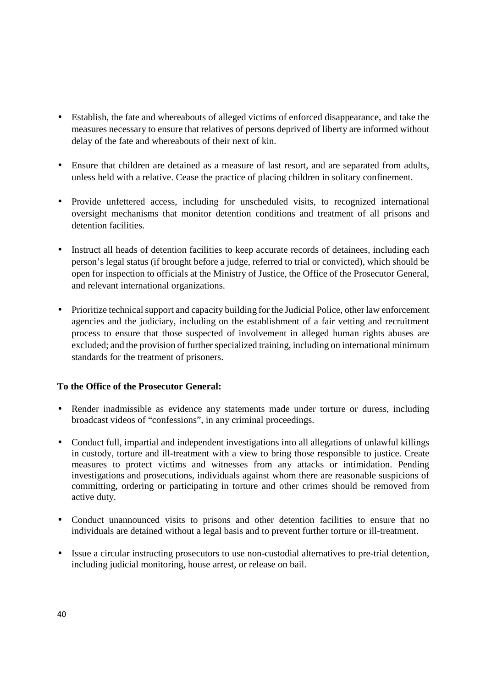- Establish, the fate and whereabouts of alleged victims of enforced disappearance, and take the measures necessary to ensure that relatives of persons deprived of liberty are informed without delay of the fate and whereabouts of their next of kin.
- Ensure that children are detained as a measure of last resort, and are separated from adults, unless held with a relative. Cease the practice of placing children in solitary confinement.
- Provide unfettered access, including for unscheduled visits, to recognized international oversight mechanisms that monitor detention conditions and treatment of all prisons and detention facilities.
- Instruct all heads of detention facilities to keep accurate records of detainees, including each person's legal status (if brought before a judge, referred to trial or convicted), which should be open for inspection to officials at the Ministry of Justice, the Office of the Prosecutor General, and relevant international organizations.
- Prioritize technical support and capacity building for the Judicial Police, other law enforcement agencies and the judiciary, including on the establishment of a fair vetting and recruitment process to ensure that those suspected of involvement in alleged human rights abuses are excluded; and the provision of further specialized training, including on international minimum standards for the treatment of prisoners.

## **To the Office of the Prosecutor General:**

- Render inadmissible as evidence any statements made under torture or duress, including broadcast videos of "confessions", in any criminal proceedings.
- Conduct full, impartial and independent investigations into all allegations of unlawful killings in custody, torture and ill-treatment with a view to bring those responsible to justice. Create measures to protect victims and witnesses from any attacks or intimidation. Pending investigations and prosecutions, individuals against whom there are reasonable suspicions of committing, ordering or participating in torture and other crimes should be removed from active duty.
- Conduct unannounced visits to prisons and other detention facilities to ensure that no individuals are detained without a legal basis and to prevent further torture or ill-treatment.
- Issue a circular instructing prosecutors to use non-custodial alternatives to pre-trial detention, including judicial monitoring, house arrest, or release on bail.